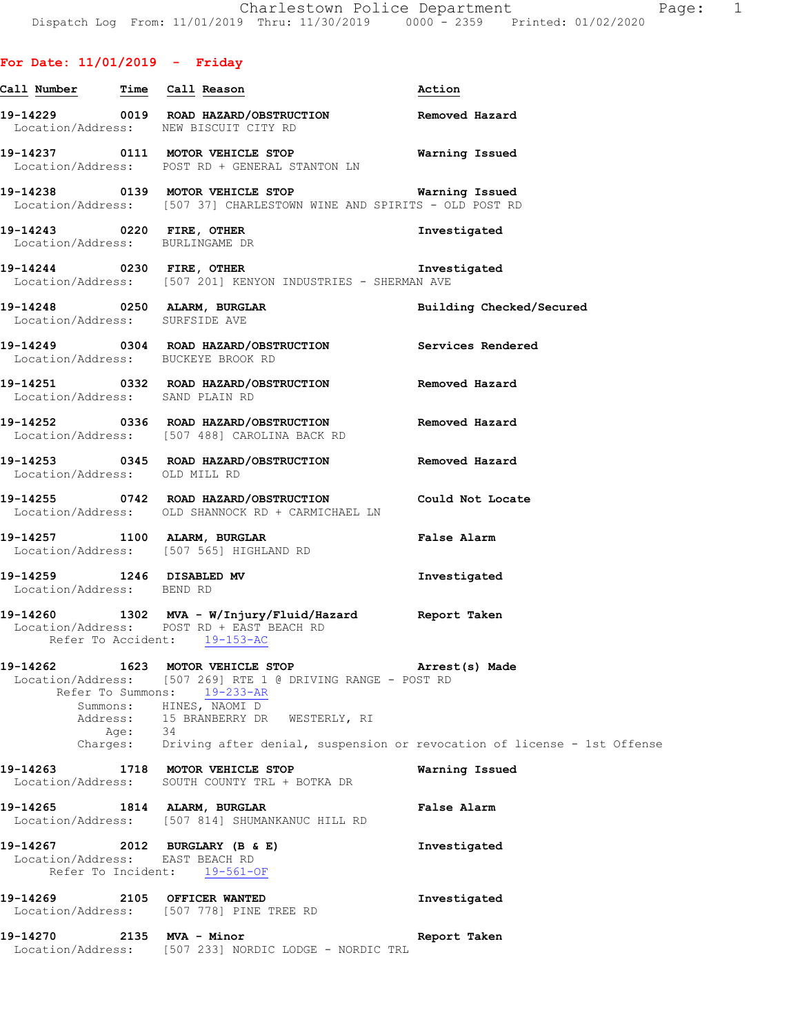# **For Date: 11/01/2019 - Friday**

| <u>Call Number Time Call Reason</u>                    |                                                                                                                                                                                                                        | Action                   |
|--------------------------------------------------------|------------------------------------------------------------------------------------------------------------------------------------------------------------------------------------------------------------------------|--------------------------|
|                                                        | 19-14229 0019 ROAD HAZARD/OBSTRUCTION Removed Hazard<br>Location/Address: NEW BISCUIT CITY RD                                                                                                                          |                          |
|                                                        | 19-14237 0111 MOTOR VEHICLE STOP <b>Warning Issued</b><br>Location/Address: POST RD + GENERAL STANTON LN                                                                                                               |                          |
|                                                        | 19-14238   0139   MOTOR VEHICLE STOP   Warning Issued<br>Location/Address: [507 37] CHARLESTOWN WINE AND SPIRITS - OLD POST RD                                                                                         |                          |
|                                                        | 19-14243 0220 FIRE, OTHER<br>Location/Address: BURLINGAME DR                                                                                                                                                           | Investigated             |
|                                                        | 19-14244 0230 FIRE, OTHER 19-14244<br>Location/Address: [507 201] KENYON INDUSTRIES - SHERMAN AVE                                                                                                                      |                          |
|                                                        | 19-14248 0250 ALARM, BURGLAR<br>Location/Address: SURFSIDE AVE                                                                                                                                                         | Building Checked/Secured |
|                                                        | 19-14249   0304   ROAD HAZARD/OBSTRUCTION   Services Rendered Location/Address: BUCKEYE BROOK RD                                                                                                                       |                          |
| Location/Address: SAND PLAIN RD                        | 19-14251  0332  ROAD HAZARD/OBSTRUCTION  Removed Hazard                                                                                                                                                                |                          |
|                                                        | 19-14252 0336 ROAD HAZARD/OBSTRUCTION Removed Hazard<br>Location/Address: [507 488] CAROLINA BACK RD                                                                                                                   |                          |
| Location/Address: OLD MILL RD                          | 19-14253 0345 ROAD HAZARD/OBSTRUCTION Removed Hazard                                                                                                                                                                   |                          |
|                                                        | 19-14255 0742 ROAD HAZARD/OBSTRUCTION Could Not Locate<br>Location/Address: OLD SHANNOCK RD + CARMICHAEL LN                                                                                                            |                          |
|                                                        | 19-14257 1100 ALARM, BURGLAR<br>Location/Address: [507 565] HIGHLAND RD                                                                                                                                                | False Alarm              |
| 19-14259 1246 DISABLED MV<br>Location/Address: BEND RD |                                                                                                                                                                                                                        | Investigated             |
|                                                        | 19-14260 1302 MVA - W/Injury/Fluid/Hazard Report Taken<br>Location/Address: POST RD + EAST BEACH RD<br>Refer To Accident: 19-153-AC                                                                                    |                          |
|                                                        | 19-14262 1623 MOTOR VEHICLE STOP 1997 Arrest(s) Made<br>Location/Address: [507 269] RTE 1 @ DRIVING RANGE - POST RD<br>Refer To Summons: 19-233-AR<br>Summons: HINES, NAOMI D<br>Address: 15 BRANBERRY DR WESTERLY, RI |                          |
|                                                        | Age: 34<br>Charges: Driving after denial, suspension or revocation of license - 1st Offense                                                                                                                            |                          |
|                                                        | 19-14263 1718 MOTOR VEHICLE STOP<br>Location/Address: SOUTH COUNTY TRL + BOTKA DR                                                                                                                                      | Warning Issued           |
| 19-14265                                               | 1814 ALARM, BURGLAR<br>Location/Address: [507 814] SHUMANKANUC HILL RD                                                                                                                                                 | False Alarm              |
| Location/Address: EAST BEACH RD<br>Refer To Incident:  | 19-14267 2012 BURGLARY (B & E)<br>$19 - 561 - OF$                                                                                                                                                                      | Investigated             |
| 19-14269                                               | 2105 OFFICER WANTED<br>Location/Address: [507 778] PINE TREE RD                                                                                                                                                        | Investigated             |
| 19-14270                                               | 2135 MVA - Minor<br>Location/Address: [507 233] NORDIC LODGE - NORDIC TRL                                                                                                                                              | Report Taken             |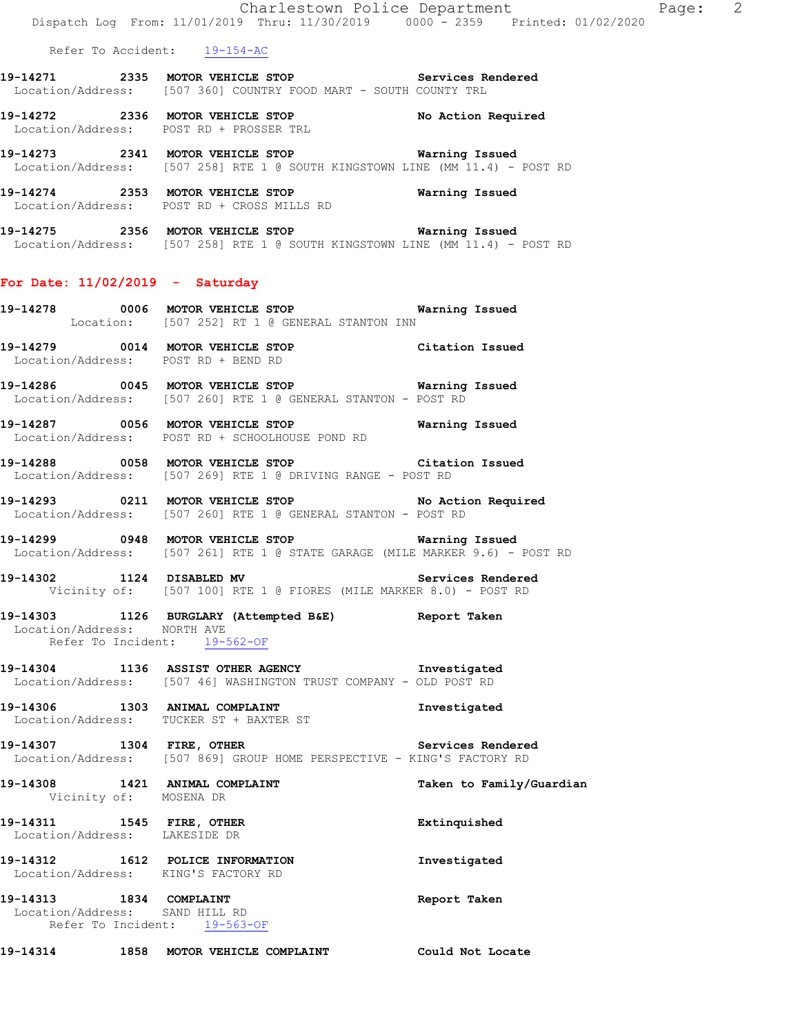Refer To Accident: 19-154-AC

- **19-14271 2335 MOTOR VEHICLE STOP Services Rendered**  Location/Address: [507 360] COUNTRY FOOD MART - SOUTH COUNTY TRL
- **19-14272 2336 MOTOR VEHICLE STOP No Action Required**  Location/Address: POST RD + PROSSER TRL
- **19-14273 2341 MOTOR VEHICLE STOP Warning Issued**  Location/Address: [507 258] RTE 1 @ SOUTH KINGSTOWN LINE (MM 11.4) - POST RD
- **19-14274 2353 MOTOR VEHICLE STOP Warning Issued**  Location/Address: POST RD + CROSS MILLS RD
- **19-14275 2356 MOTOR VEHICLE STOP Warning Issued**  Location/Address: [507 258] RTE 1 @ SOUTH KINGSTOWN LINE (MM 11.4) - POST RD

# **For Date: 11/02/2019 - Saturday**

- **19-14278 0006 MOTOR VEHICLE STOP Warning Issued**  Location: [507 252] RT 1 @ GENERAL STANTON INN
- **19-14279 0014 MOTOR VEHICLE STOP Citation Issued**  Location/Address: POST RD + BEND RD
- **19-14286 0045 MOTOR VEHICLE STOP Warning Issued**  Location/Address: [507 260] RTE 1 @ GENERAL STANTON - POST RD
- **19-14287 0056 MOTOR VEHICLE STOP Warning Issued**  Location/Address: POST RD + SCHOOLHOUSE POND RD
- **19-14288 0058 MOTOR VEHICLE STOP Citation Issued**  Location/Address: [507 269] RTE 1 @ DRIVING RANGE - POST RD
- **19-14293 0211 MOTOR VEHICLE STOP No Action Required**  Location/Address: [507 260] RTE 1 @ GENERAL STANTON - POST RD
- **19-14299 0948 MOTOR VEHICLE STOP Warning Issued**  Location/Address: [507 261] RTE 1 @ STATE GARAGE (MILE MARKER 9.6) - POST RD
- **19-14302 1124 DISABLED MV Services Rendered**  Vicinity of: [507 100] RTE 1 @ FIORES (MILE MARKER 8.0) - POST RD
- **19-14303 1126 BURGLARY (Attempted B&E) Report Taken**  Location/Address: NORTH AVE Refer To Incident: 19-562-OF
- **19-14304 1136 ASSIST OTHER AGENCY Investigated**  Location/Address: [507 46] WASHINGTON TRUST COMPANY - OLD POST RD
- **19-14306 1303 ANIMAL COMPLAINT Investigated**  Location/Address: TUCKER ST + BAXTER ST
- **19-14307 1304 FIRE, OTHER Services Rendered**  Location/Address: [507 869] GROUP HOME PERSPECTIVE - KING'S FACTORY RD
- **19-14308 1421 ANIMAL COMPLAINT Taken to Family/Guardian**  Vicinity of: MOSENA DR **19-14311 1545 FIRE, OTHER Extinquished**  Location/Address: LAKESIDE DR **19-14312 1612 POLICE INFORMATION Investigated**  Location/Address: KING'S FACTORY RD **19-14313 1834 COMPLAINT Report Taken**  Location/Address: SAND HILL RD Refer To Incident: 19-563-OF
- **19-14314 1858 MOTOR VEHICLE COMPLAINT Could Not Locate**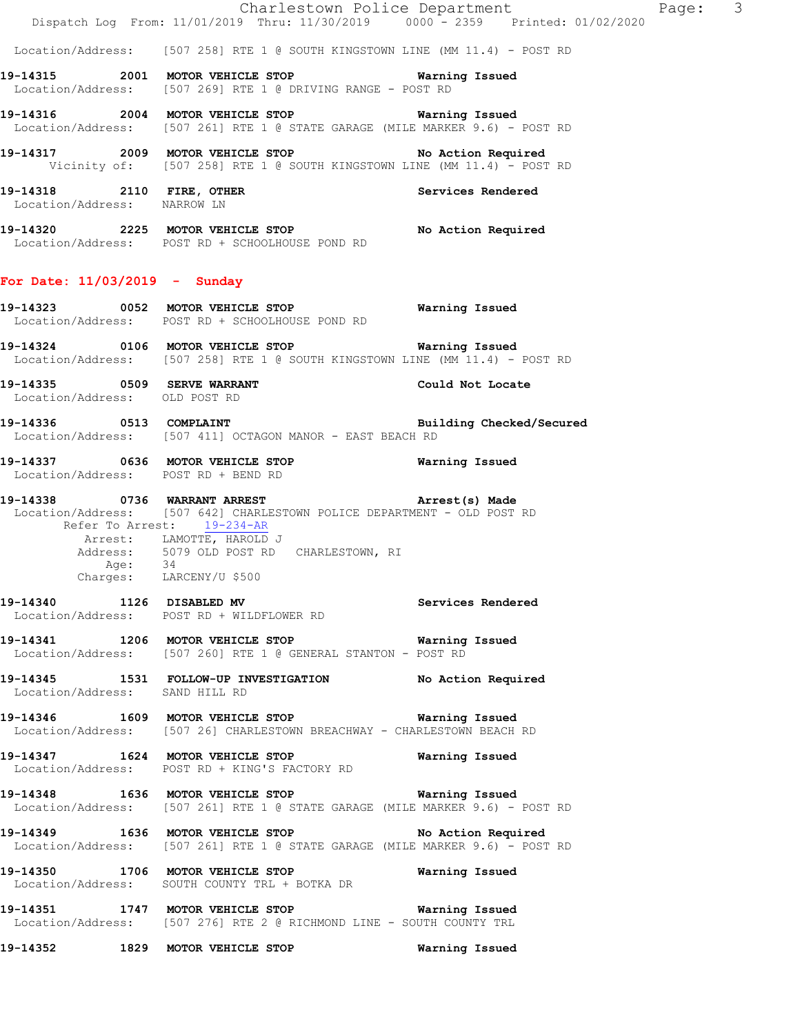Location/Address: [507 258] RTE 1 @ SOUTH KINGSTOWN LINE (MM 11.4) - POST RD

- **19-14315 2001 MOTOR VEHICLE STOP Warning Issued**  Location/Address: [507 269] RTE 1 @ DRIVING RANGE - POST RD
- **19-14316 2004 MOTOR VEHICLE STOP Warning Issued**  Location/Address: [507 261] RTE 1 @ STATE GARAGE (MILE MARKER 9.6) - POST RD
- **19-14317 2009 MOTOR VEHICLE STOP No Action Required**  Vicinity of: [507 258] RTE 1 @ SOUTH KINGSTOWN LINE (MM 11.4) - POST RD
- **19-14318 2110 FIRE, OTHER Services Rendered**  Location/Address: NARROW LN
- **19-14320 2225 MOTOR VEHICLE STOP No Action Required**  Location/Address: POST RD + SCHOOLHOUSE POND RD

#### **For Date: 11/03/2019 - Sunday**

- **19-14323 0052 MOTOR VEHICLE STOP Warning Issued**  Location/Address: POST RD + SCHOOLHOUSE POND RD
- **19-14324 0106 MOTOR VEHICLE STOP Warning Issued**  Location/Address: [507 258] RTE 1 @ SOUTH KINGSTOWN LINE (MM 11.4) - POST RD
- **19-14335 0509 SERVE WARRANT Could Not Locate**  Location/Address: OLD POST RD
- **19-14336 0513 COMPLAINT Building Checked/Secured**  Location/Address: [507 411] OCTAGON MANOR - EAST BEACH RD
- **19-14337 0636 MOTOR VEHICLE STOP Warning Issued**  Location/Address: POST RD + BEND RD
- **19-14338 0736 WARRANT ARREST Arrest(s) Made**  Location/Address: [507 642] CHARLESTOWN POLICE DEPARTMENT - OLD POST RD Refer To Arrest: 19-234-AR Arrest: LAMOTTE, HAROLD J 5079 OLD POST RD CHARLESTOWN, RI Address: 50<br>Address: 50<br>Age: 34 Charges: LARCENY/U \$500
- **19-14340 1126 DISABLED MV Services Rendered**  Location/Address: POST RD + WILDFLOWER RD
- **19-14341 1206 MOTOR VEHICLE STOP Warning Issued**  Location/Address: [507 260] RTE 1 @ GENERAL STANTON - POST RD
- **19-14345 1531 FOLLOW-UP INVESTIGATION No Action Required**  Location/Address: SAND HILL RD
- **19-14346 1609 MOTOR VEHICLE STOP Warning Issued**  Location/Address: [507 26] CHARLESTOWN BREACHWAY - CHARLESTOWN BEACH RD
- **19-14347 1624 MOTOR VEHICLE STOP Warning Issued**  Location/Address: POST RD + KING'S FACTORY RD
- **19-14348 1636 MOTOR VEHICLE STOP Warning Issued**  Location/Address: [507 261] RTE 1 @ STATE GARAGE (MILE MARKER 9.6) - POST RD
- **19-14349 1636 MOTOR VEHICLE STOP No Action Required**  Location/Address: [507 261] RTE 1 @ STATE GARAGE (MILE MARKER 9.6) - POST RD
- **19-14350 1706 MOTOR VEHICLE STOP Warning Issued**  Location/Address: SOUTH COUNTY TRL + BOTKA DR
- **19-14351 1747 MOTOR VEHICLE STOP Warning Issued**  Location/Address: [507 276] RTE 2 @ RICHMOND LINE - SOUTH COUNTY TRL
- **19-14352 1829 MOTOR VEHICLE STOP Warning Issued**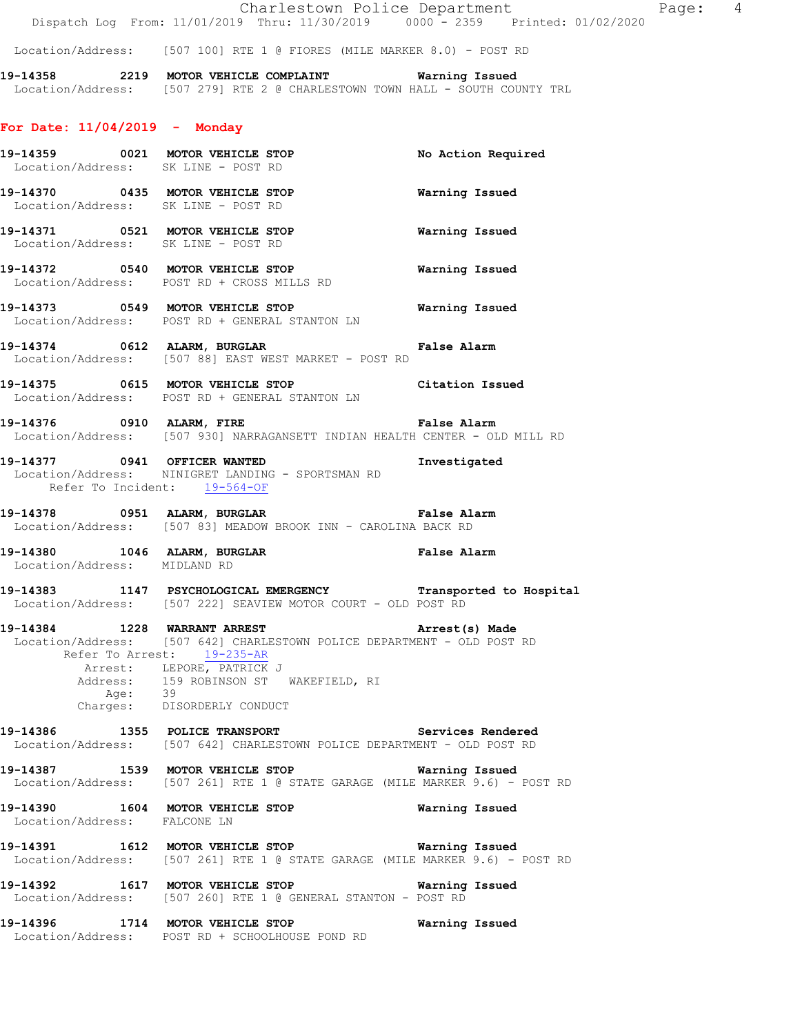Location/Address: [507 100] RTE 1 @ FIORES (MILE MARKER 8.0) - POST RD

**19-14358 2219 MOTOR VEHICLE COMPLAINT Warning Issued**  Location/Address: [507 279] RTE 2 @ CHARLESTOWN TOWN HALL - SOUTH COUNTY TRL

# **For Date: 11/04/2019 - Monday**

|                              | 19-14359 0021 MOTOR VEHICLE STOP<br>Location/Address: SK LINE - POST RD                                                                                                                                                                                               | No Action Required    |
|------------------------------|-----------------------------------------------------------------------------------------------------------------------------------------------------------------------------------------------------------------------------------------------------------------------|-----------------------|
|                              | 19-14370 0435 MOTOR VEHICLE STOP<br>Location/Address: SK LINE - POST RD                                                                                                                                                                                               | Warning Issued        |
|                              | Location/Address: SK LINE - POST RD                                                                                                                                                                                                                                   |                       |
|                              | 19-14372 0540 MOTOR VEHICLE STOP<br>Location/Address: POST RD + CROSS MILLS RD                                                                                                                                                                                        | <b>Warning Issued</b> |
|                              | Location/Address: POST RD + GENERAL STANTON LN                                                                                                                                                                                                                        |                       |
|                              | 19-14374 0612 ALARM, BURGLAR CHARM False Alarm<br>Location/Address: [507 88] EAST WEST MARKET - POST RD                                                                                                                                                               |                       |
|                              | 19-14375 0615 MOTOR VEHICLE STOP Citation Issued<br>Location/Address: POST RD + GENERAL STANTON LN                                                                                                                                                                    |                       |
|                              | 19-14376 0910 ALARM, FIRE <b>1998 False Alarm</b><br>Location/Address: [507 930] NARRAGANSETT INDIAN HEALTH CENTER - OLD MILL RD                                                                                                                                      |                       |
|                              | 19-14377 0941 OFFICER WANTED<br>Location/Address: NINIGRET LANDING - SPORTSMAN RD<br>Refer To Incident: 19-564-OF                                                                                                                                                     | Investigated          |
|                              | Location/Address: [507 83] MEADOW BROOK INN - CAROLINA BACK RD                                                                                                                                                                                                        |                       |
| Location/Address: MIDLAND RD | 19-14380 1046 ALARM, BURGLAR 19 Palse Alarm                                                                                                                                                                                                                           |                       |
|                              | 19-14383 1147 PSYCHOLOGICAL EMERGENCY Transported to Hospital<br>Location/Address: [507 222] SEAVIEW MOTOR COURT - OLD POST RD                                                                                                                                        |                       |
|                              | 19-14384 1228 WARRANT ARREST Arrest(s) Made<br>Location/Address: [507 642] CHARLESTOWN POLICE DEPARTMENT - OLD POST RD<br>Refer To Arrest: 19-235-AR<br>Arrest: LEPORE, PATRICK J<br>Address: 159 ROBINSON ST WAKEFIELD, RI<br>Age: 39<br>Charges: DISORDERLY CONDUCT |                       |
|                              | 19-14386 1355 POLICE TRANSPORT Services Rendered<br>Location/Address: [507 642] CHARLESTOWN POLICE DEPARTMENT - OLD POST RD                                                                                                                                           |                       |
|                              |                                                                                                                                                                                                                                                                       |                       |
|                              | 19-14387 1539 MOTOR VEHICLE STOP<br>Location/Address: [507 261] RTE 1 @ STATE GARAGE (MILE MARKER 9.6) - POST RD                                                                                                                                                      | Warning Issued        |
| Location/Address: FALCONE LN | 19-14390 1604 MOTOR VEHICLE STOP                                                                                                                                                                                                                                      | Warning Issued        |
|                              | 19-14391 1612 MOTOR VEHICLE STOP<br>Location/Address: [507 261] RTE 1 @ STATE GARAGE (MILE MARKER 9.6) - POST RD                                                                                                                                                      | Warning Issued        |
|                              | 19-14392 1617 MOTOR VEHICLE STOP<br>Location/Address: [507 260] RTE 1 @ GENERAL STANTON - POST RD                                                                                                                                                                     | Warning Issued        |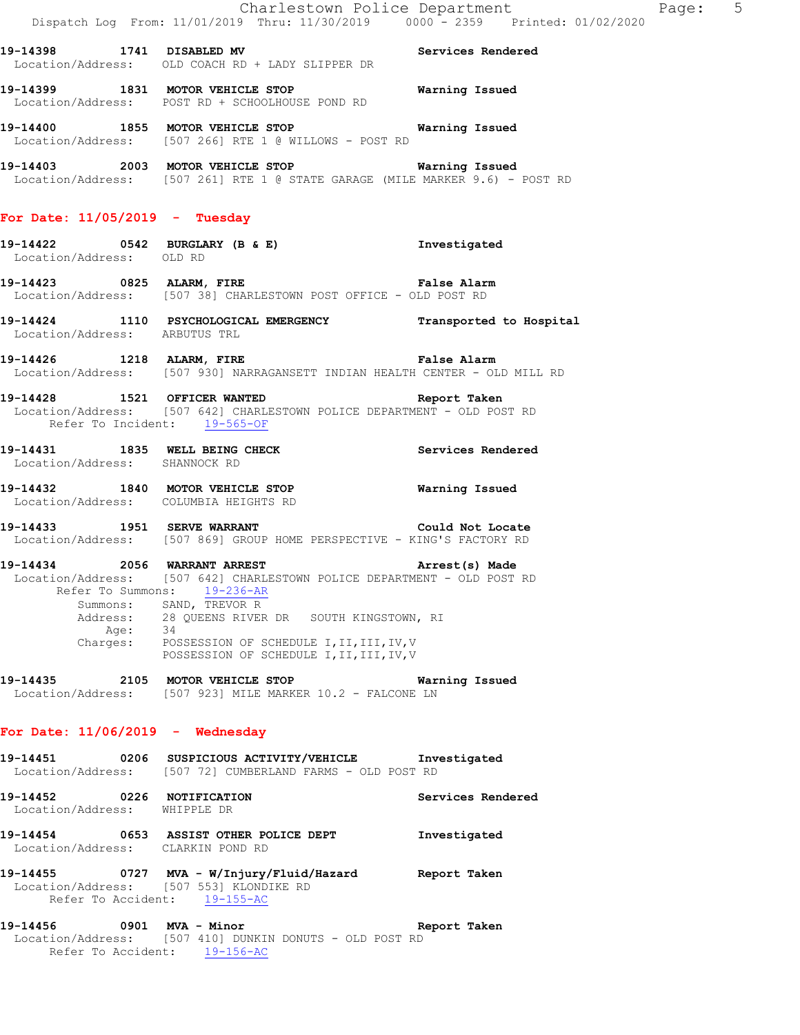|                                                                         | Dispatch Log From: 11/01/2019 Thru: 11/30/2019 0000 - 2359 Printed: 01/02/2020                                                                                                                                                                                                                                                            | Charlestown Police Department Page: 5 |  |
|-------------------------------------------------------------------------|-------------------------------------------------------------------------------------------------------------------------------------------------------------------------------------------------------------------------------------------------------------------------------------------------------------------------------------------|---------------------------------------|--|
|                                                                         | 19-14398 1741 DISABLED MV Services Rendered<br>Location/Address: OLD COACH RD + LADY SLIPPER DR                                                                                                                                                                                                                                           |                                       |  |
|                                                                         | 19-14399 1831 MOTOR VEHICLE STOP <b>Warning Issued</b><br>Location/Address: POST RD + SCHOOLHOUSE POND RD                                                                                                                                                                                                                                 |                                       |  |
|                                                                         | 19-14400 1855 MOTOR VEHICLE STOP 6 Warning Issued<br>Location/Address: [507 266] RTE 1 @ WILLOWS - POST RD                                                                                                                                                                                                                                |                                       |  |
|                                                                         | 19-14403 2003 MOTOR VEHICLE STOP 6 Warning Issued<br>Location/Address: [507 261] RTE 1 @ STATE GARAGE (MILE MARKER 9.6) - POST RD                                                                                                                                                                                                         |                                       |  |
| For Date: $11/05/2019$ - Tuesday                                        |                                                                                                                                                                                                                                                                                                                                           |                                       |  |
| Location/Address: OLD RD                                                | 19-14422 0542 BURGLARY (B & E) Investigated                                                                                                                                                                                                                                                                                               |                                       |  |
|                                                                         | 19-14423 0825 ALARM, FIRE False Alarm<br>Location/Address: [507 38] CHARLESTOWN POST OFFICE - OLD POST RD                                                                                                                                                                                                                                 |                                       |  |
| Location/Address: ARBUTUS TRL                                           | 19-14424 1110 PSYCHOLOGICAL EMERGENCY Transported to Hospital                                                                                                                                                                                                                                                                             |                                       |  |
|                                                                         | 19-14426 1218 ALARM, FIRE <b>19-14426</b> False Alarm<br>Location/Address: [507 930] NARRAGANSETT INDIAN HEALTH CENTER - OLD MILL RD                                                                                                                                                                                                      |                                       |  |
| Refer To Incident: 19-565-OF                                            | 19-14428 1521 OFFICER WANTED Report Taken<br>Location/Address: [507 642] CHARLESTOWN POLICE DEPARTMENT - OLD POST RD                                                                                                                                                                                                                      |                                       |  |
| Location/Address: SHANNOCK RD                                           | 19-14431 1835 WELL BEING CHECK Services Rendered                                                                                                                                                                                                                                                                                          |                                       |  |
| Location/Address: COLUMBIA HEIGHTS RD                                   | 19-14432 1840 MOTOR VEHICLE STOP Warning Issued                                                                                                                                                                                                                                                                                           |                                       |  |
| 19-14433 1951 SERVE WARRANT                                             | Could Not Locate<br>Location/Address: [507 869] GROUP HOME PERSPECTIVE - KING'S FACTORY RD                                                                                                                                                                                                                                                |                                       |  |
| Age: 34                                                                 | 19-14434 2056 WARRANT ARREST 2008 Arrest(s) Made<br>Location/Address: [507 642] CHARLESTOWN POLICE DEPARTMENT - OLD POST RD<br>Refer To Summons: 19-236-AR<br>Summons: SAND, TREVOR R<br>Address: 28 QUEENS RIVER DR SOUTH KINGSTOWN, RI<br>Charges: POSSESSION OF SCHEDULE I, II, III, IV, V<br>POSSESSION OF SCHEDULE I, II, III, IV, V |                                       |  |
|                                                                         | 19-14435 2105 MOTOR VEHICLE STOP 6 Warning Issued<br>Location/Address: [507 923] MILE MARKER 10.2 - FALCONE LN                                                                                                                                                                                                                            |                                       |  |
| For Date: $11/06/2019$ - Wednesday                                      |                                                                                                                                                                                                                                                                                                                                           |                                       |  |
|                                                                         | 19-14451 0206 SUSPICIOUS ACTIVITY/VEHICLE Investigated<br>Location/Address: [507 72] CUMBERLAND FARMS - OLD POST RD                                                                                                                                                                                                                       |                                       |  |
| 19-14452 0226 NOTIFICATION<br>Location/Address: WHIPPLE DR              |                                                                                                                                                                                                                                                                                                                                           | Services Rendered                     |  |
| Location/Address: CLARKIN POND RD                                       | 19-14454 0653 ASSIST OTHER POLICE DEPT                                                                                                                                                                                                                                                                                                    | Investigated                          |  |
| Location/Address: [507 553] KLONDIKE RD<br>Refer To Accident: 19-155-AC | 19-14455  0727 MVA - W/Injury/Fluid/Hazard Report Taken                                                                                                                                                                                                                                                                                   |                                       |  |
| 19-14456 0901 MVA - Minor                                               | Location/Address: [507 410] DUNKIN DONUTS - OLD POST RD<br>Refer To Accident: 19-156-AC                                                                                                                                                                                                                                                   | Report Taken                          |  |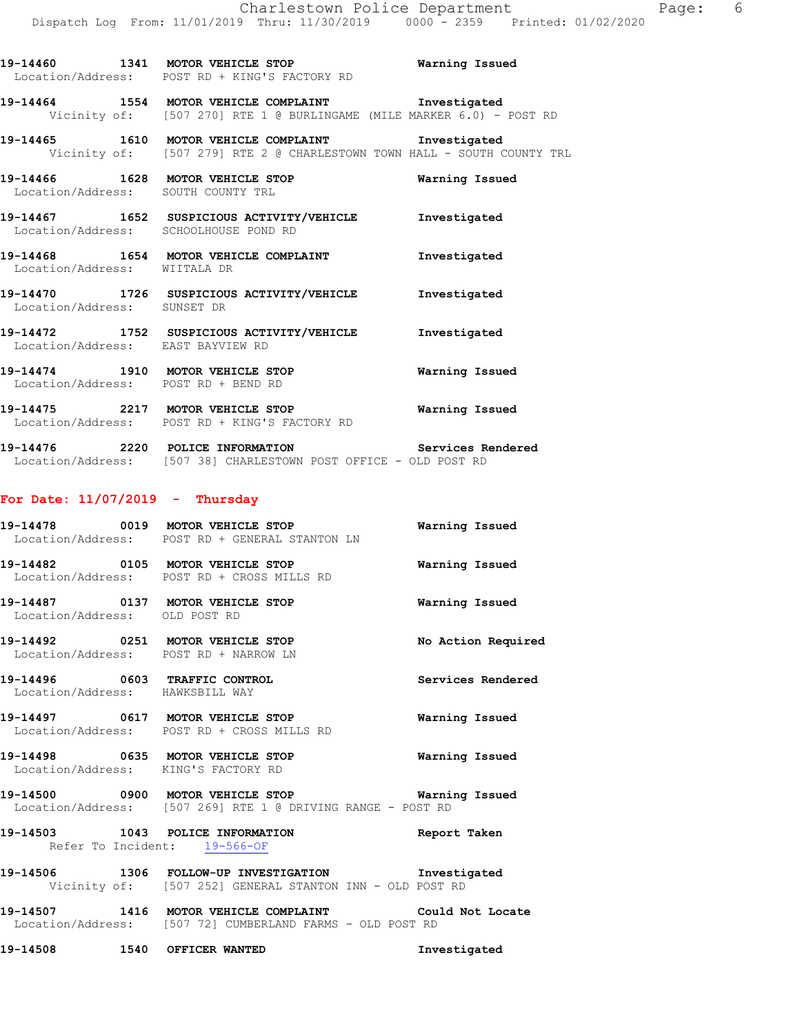**19-14466 1628 MOTOR VEHICLE STOP Warning Issued**  Location/Address: SOUTH COUNTY TRL **19-14467 1652 SUSPICIOUS ACTIVITY/VEHICLE Investigated**  Location/Address: SCHOOLHOUSE POND RD **19-14468 1654 MOTOR VEHICLE COMPLAINT Investigated**  Location/Address: WIITALA DR **19-14470 1726 SUSPICIOUS ACTIVITY/VEHICLE Investigated**  Location/Address: SUNSET DR **19-14472 1752 SUSPICIOUS ACTIVITY/VEHICLE Investigated**  Location/Address: EAST BAYVIEW RD **19-14474 1910 MOTOR VEHICLE STOP Warning Issued**  Location/Address: POST RD + BEND RD

**19-14464 1554 MOTOR VEHICLE COMPLAINT Investigated** 

**19-14465 1610 MOTOR VEHICLE COMPLAINT Investigated** 

Vicinity of: [507 270] RTE 1 @ BURLINGAME (MILE MARKER 6.0) - POST RD

Vicinity of: [507 279] RTE 2 @ CHARLESTOWN TOWN HALL - SOUTH COUNTY TRL

**19-14475 2217 MOTOR VEHICLE STOP Warning Issued**  Location/Address: POST RD + KING'S FACTORY RD

**19-14476 2220 POLICE INFORMATION Services Rendered**  Location/Address: [507 38] CHARLESTOWN POST OFFICE - OLD POST RD

#### **For Date: 11/07/2019 - Thursday**

Location/Address: POST RD + KING'S FACTORY RD

|                                                                           | Location/Address: POST RD + GENERAL STANTON LN                                                                        | Warning Issued     |
|---------------------------------------------------------------------------|-----------------------------------------------------------------------------------------------------------------------|--------------------|
| 19-14482    0105    MOTOR VEHICLE STOP                                    | Location/Address: POST RD + CROSS MILLS RD                                                                            | Warning Issued     |
| 19-14487   0137   MOTOR VEHICLE STOP<br>Location/Address: OLD POST RD     |                                                                                                                       | Warning Issued     |
| 19-14492 0251 MOTOR VEHICLE STOP<br>Location/Address: POST RD + NARROW LN |                                                                                                                       | No Action Required |
| 19-14496 0603 TRAFFIC CONTROL<br>Location/Address: HAWKSBILL WAY          |                                                                                                                       | Services Rendered  |
| 19-14497 0617 MOTOR VEHICLE STOP                                          | Location/Address: POST RD + CROSS MILLS RD                                                                            | Warning Issued     |
| 19-14498 0635 MOTOR VEHICLE STOP<br>Location/Address: KING'S FACTORY RD   |                                                                                                                       | Warning Issued     |
|                                                                           | 19-14500 0900 MOTOR VEHICLE STOP <b>Warning Issued</b><br>Location/Address: [507 269] RTE 1 @ DRIVING RANGE - POST RD |                    |

# **19-14503 1043 POLICE INFORMATION Report Taken**  Refer To Incident: 19-566-OF

**19-14506 1306 FOLLOW-UP INVESTIGATION Investigated**  Vicinity of: [507 252] GENERAL STANTON INN - OLD POST RD

**19-14507 1416 MOTOR VEHICLE COMPLAINT Could Not Locate**  Location/Address: [507 72] CUMBERLAND FARMS - OLD POST RD

**19-14508 1540 OFFICER WANTED Investigated** 

# **19-14460 1341 MOTOR VEHICLE STOP Warning Issued**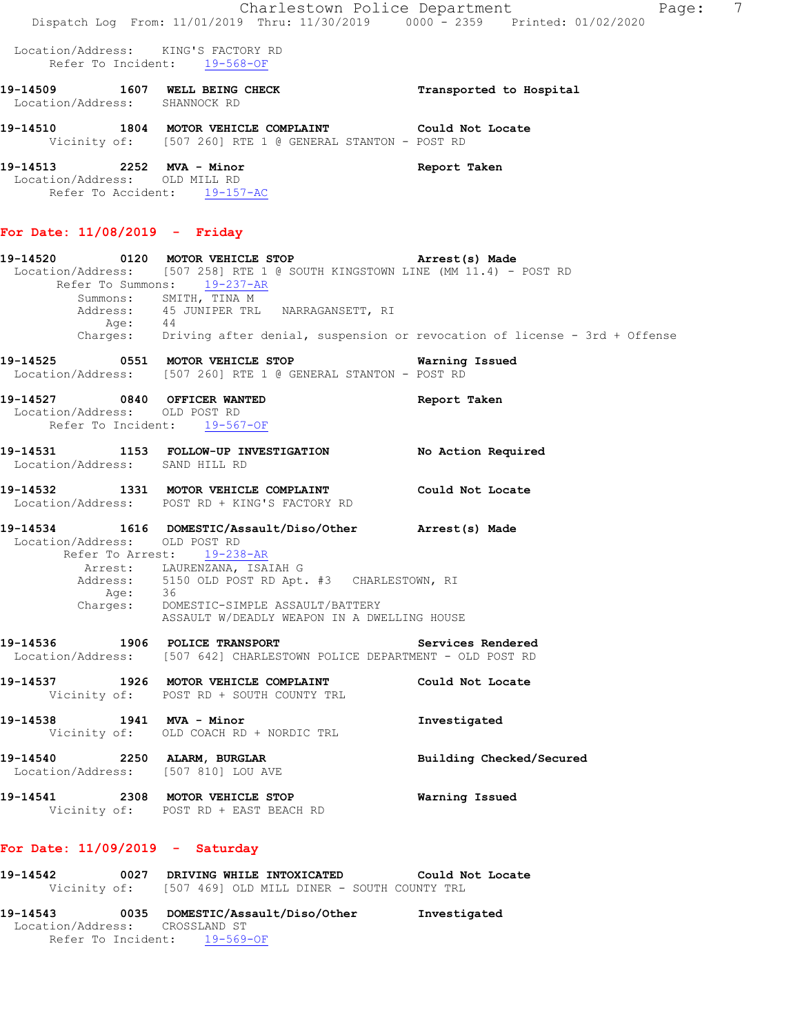Location/Address: KING'S FACTORY RD Refer To Incident: 19-568-OF

- **19-14509 1607 WELL BEING CHECK Transported to Hospital**  Location/Address: SHANNOCK RD **19-14510 1804 MOTOR VEHICLE COMPLAINT Could Not Locate**
- Vicinity of: [507 260] RTE 1 @ GENERAL STANTON POST RD

**19-14513 2252 MVA - Minor Report Taken**  Location/Address: OLD MILL RD Refer To Accident: 19-157-AC

#### **For Date: 11/08/2019 - Friday**

# **19-14520 0120 MOTOR VEHICLE STOP Arrest(s) Made**  Location/Address: [507 258] RTE 1 @ SOUTH KINGSTOWN LINE (MM 11.4) - POST RD Refer To Summons: 19-237-AR Summons: SMITH, TINA M Address: 45 JUNIPER TRL NARRAGANSETT, RI Age: 44 Charges: Driving after denial, suspension or revocation of license - 3rd + Offense **19-14525 0551 MOTOR VEHICLE STOP Warning Issued**  Location/Address: [507 260] RTE 1 @ GENERAL STANTON - POST RD **19-14527 0840 OFFICER WANTED Report Taken**  Location/Address: OLD POST RD Refer To Incident: 19-567-OF **19-14531 1153 FOLLOW-UP INVESTIGATION No Action Required**  Location/Address: SAND HILL RD **19-14532 1331 MOTOR VEHICLE COMPLAINT Could Not Locate**  Location/Address: POST RD + KING'S FACTORY RD **19-14534 1616 DOMESTIC/Assault/Diso/Other Arrest(s) Made**  Location/Address: OLD POST RD Refer To Arrest: 19-238-AR Arrest: LAURENZANA, ISAIAH G Address: 5150 OLD POST RD Apt. #3 CHARLESTOWN, RI Age: 36 Charges: DOMESTIC-SIMPLE ASSAULT/BATTERY ASSAULT W/DEADLY WEAPON IN A DWELLING HOUSE **19-14536 1906 POLICE TRANSPORT Services Rendered**  Location/Address: [507 642] CHARLESTOWN POLICE DEPARTMENT - OLD POST RD **19-14537 1926 MOTOR VEHICLE COMPLAINT Could Not Locate**  Vicinity of: POST RD + SOUTH COUNTY TRL **19-14538 1941 MVA - Minor Investigated**  Vicinity of: OLD COACH RD + NORDIC TRL **19-14540 2250 ALARM, BURGLAR Building Checked/Secured**  Location/Address: [507 810] LOU AVE **19-14541 2308 MOTOR VEHICLE STOP Warning Issued**  Vicinity of: POST RD + EAST BEACH RD

# **For Date: 11/09/2019 - Saturday**

- **19-14542 0027 DRIVING WHILE INTOXICATED Could Not Locate**  Vicinity of: [507 469] OLD MILL DINER - SOUTH COUNTY TRL
- **19-14543 0035 DOMESTIC/Assault/Diso/Other Investigated**  Location/Address: CROSSLAND ST Refer To Incident: 19-569-OF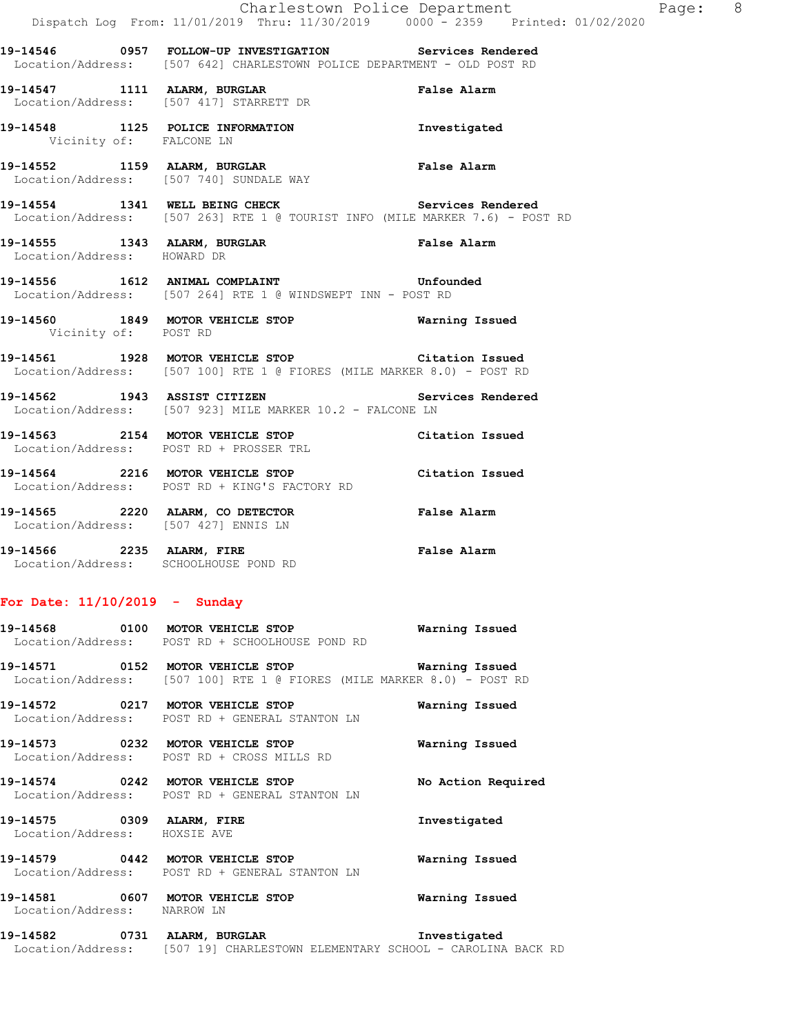**19-14546 0957 FOLLOW-UP INVESTIGATION Services Rendered**  Location/Address: [507 642] CHARLESTOWN POLICE DEPARTMENT - OLD POST RD **19-14547 1111 ALARM, BURGLAR False Alarm**  Location/Address: [507 417] STARRETT DR **19-14548 1125 POLICE INFORMATION Investigated**  Vicinity of: FALCONE LN **19-14552 1159 ALARM, BURGLAR False Alarm**  Location/Address: [507 740] SUNDALE WAY **19-14554 1341 WELL BEING CHECK Services Rendered**  Location/Address: [507 263] RTE 1 @ TOURIST INFO (MILE MARKER 7.6) - POST RD **19-14555 1343 ALARM, BURGLAR False Alarm**  Location/Address: HOWARD DR **19-14556 1612 ANIMAL COMPLAINT Unfounded**  Location/Address: [507 264] RTE 1 @ WINDSWEPT INN - POST RD **19-14560 1849 MOTOR VEHICLE STOP Warning Issued**  Vicinity of: POST RD **19-14561 1928 MOTOR VEHICLE STOP Citation Issued**  Location/Address: [507 100] RTE 1 @ FIORES (MILE MARKER 8.0) - POST RD **19-14562 1943 ASSIST CITIZEN Services Rendered**  Location/Address: [507 923] MILE MARKER 10.2 - FALCONE LN **19-14563 2154 MOTOR VEHICLE STOP Citation Issued**  Location/Address: POST RD + PROSSER TRL **19-14564 2216 MOTOR VEHICLE STOP Citation Issued** Location/Address: POST RD + KING'S FACTORY RD Location/Address: POST RD + KING'S FACTORY RD **19-14565 2220 ALARM, CO DETECTOR False Alarm**  Location/Address: [507 427] ENNIS LN **19-14566 2235 ALARM, FIRE False Alarm**  Location/Address: SCHOOLHOUSE POND RD

## **For Date: 11/10/2019 - Sunday**

| 19–14568          | 0100 | MOTOR VEHICLE STOP            | Warning Issued |
|-------------------|------|-------------------------------|----------------|
| Location/Address: |      | POST RD + SCHOOLHOUSE POND RD |                |
|                   |      |                               |                |

**19-14571 0152 MOTOR VEHICLE STOP Warning Issued**  Location/Address: [507 100] RTE 1 @ FIORES (MILE MARKER 8.0) - POST RD

**19-14572 0217 MOTOR VEHICLE STOP Warning Issued**  Location/Address: POST RD + GENERAL STANTON LN

**19-14573 0232 MOTOR VEHICLE STOP Warning Issued**  Location/Address: POST RD + CROSS MILLS RD

**19-14574 0242 MOTOR VEHICLE STOP No Action Required**  Location/Address: POST RD + GENERAL STANTON LN

**19-14575 0309 ALARM, FIRE Investigated**  Location/Address: HOXSIE AVE

**19-14579 0442 MOTOR VEHICLE STOP Warning Issued**  Location/Address: POST RD + GENERAL STANTON LN

**19-14581 0607 MOTOR VEHICLE STOP Warning Issued**  Location/Address: NARROW LN

**19-14582 0731 ALARM, BURGLAR Investigated**  Location/Address: [507 19] CHARLESTOWN ELEMENTARY SCHOOL - CAROLINA BACK RD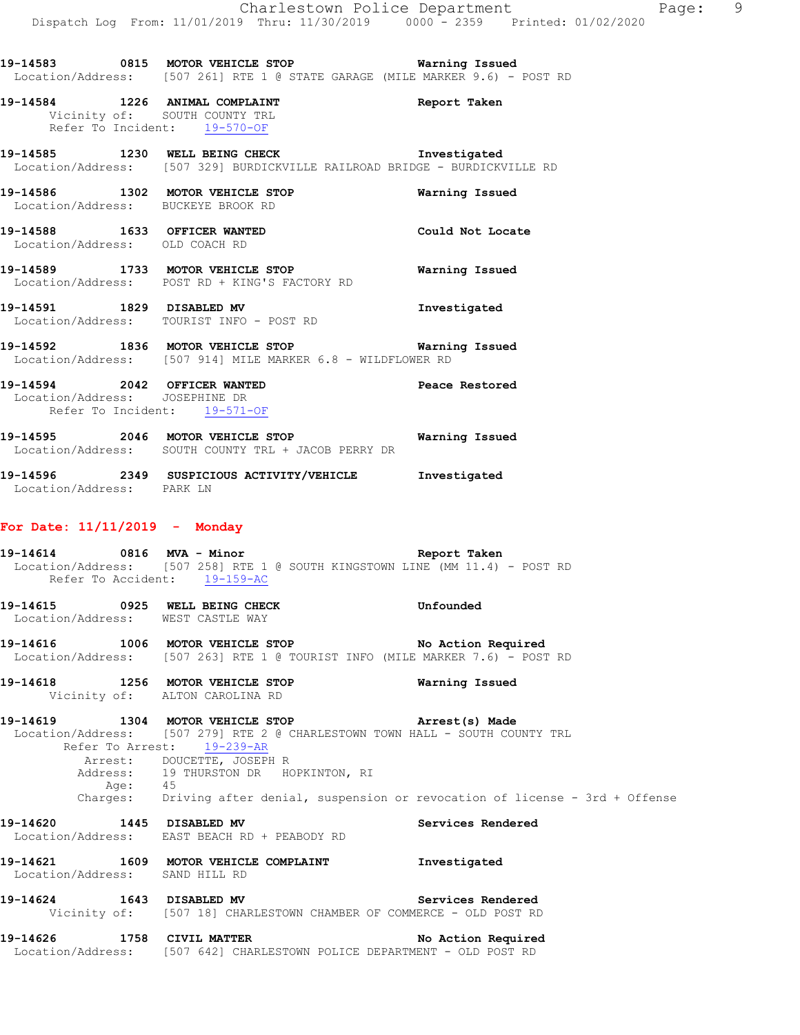## **19-14584 1226 ANIMAL COMPLAINT Report Taken**  Vicinity of: SOUTH COUNTY TRL Refer To Incident: 19-570-OF

**19-14585 1230 WELL BEING CHECK Investigated**  Location/Address: [507 329] BURDICKVILLE RAILROAD BRIDGE - BURDICKVILLE RD

- **19-14586 1302 MOTOR VEHICLE STOP Warning Issued**  Location/Address: BUCKEYE BROOK RD
- **19-14588 1633 OFFICER WANTED Could Not Locate**  Location/Address: OLD COACH RD
- **19-14589 1733 MOTOR VEHICLE STOP Warning Issued**  Location/Address: POST RD + KING'S FACTORY RD
- **19-14591 1829 DISABLED MV Investigated**  Location/Address: TOURIST INFO - POST RD
- **19-14592 1836 MOTOR VEHICLE STOP Warning Issued**  Location/Address: [507 914] MILE MARKER 6.8 - WILDFLOWER RD
- **19-14594 2042 OFFICER WANTED Peace Restored**  Location/Address: JOSEPHINE DR Refer To Incident: 19-571-OF
- **19-14595 2046 MOTOR VEHICLE STOP Warning Issued**  Location/Address: SOUTH COUNTY TRL + JACOB PERRY DR
- **19-14596 2349 SUSPICIOUS ACTIVITY/VEHICLE Investigated**  Location/Address: PARK LN

## **For Date: 11/11/2019 - Monday**

- **19-14614 0816 MVA Minor Report Taken**  Location/Address: [507 258] RTE 1 @ SOUTH KINGSTOWN LINE (MM 11.4) - POST RD Refer To Accident: 19-159-AC **19-14615 0925 WELL BEING CHECK Unfounded**  Location/Address: WEST CASTLE WAY **19-14616 1006 MOTOR VEHICLE STOP No Action Required**  Location/Address: [507 263] RTE 1 @ TOURIST INFO (MILE MARKER 7.6) - POST RD **19-14618 1256 MOTOR VEHICLE STOP Warning Issued**  Vicinity of: ALTON CAROLINA RD **19-14619 1304 MOTOR VEHICLE STOP Arrest(s) Made**  Location/Address: [507 279] RTE 2 @ CHARLESTOWN TOWN HALL - SOUTH COUNTY TRL Refer To Arrest: 19-239-AR Arrest: DOUCETTE, JOSEPH R 19 THURSTON DR HOPKINTON, RI Alless: 19<br>Address: 19<br>Age: 45<br>Charges: Dr: Driving after denial, suspension or revocation of license - 3rd + Offense **19-14620 1445 DISABLED MV Services Rendered**  Location/Address: EAST BEACH RD + PEABODY RD **19-14621 1609 MOTOR VEHICLE COMPLAINT Investigated**  Location/Address: SAND HILL RD **19-14624 1643 DISABLED MV Services Rendered**  Vicinity of: [507 18] CHARLESTOWN CHAMBER OF COMMERCE - OLD POST RD 19-14626 1758 CIVIL MATTER No Action Required
- Location/Address: [507 642] CHARLESTOWN POLICE DEPARTMENT OLD POST RD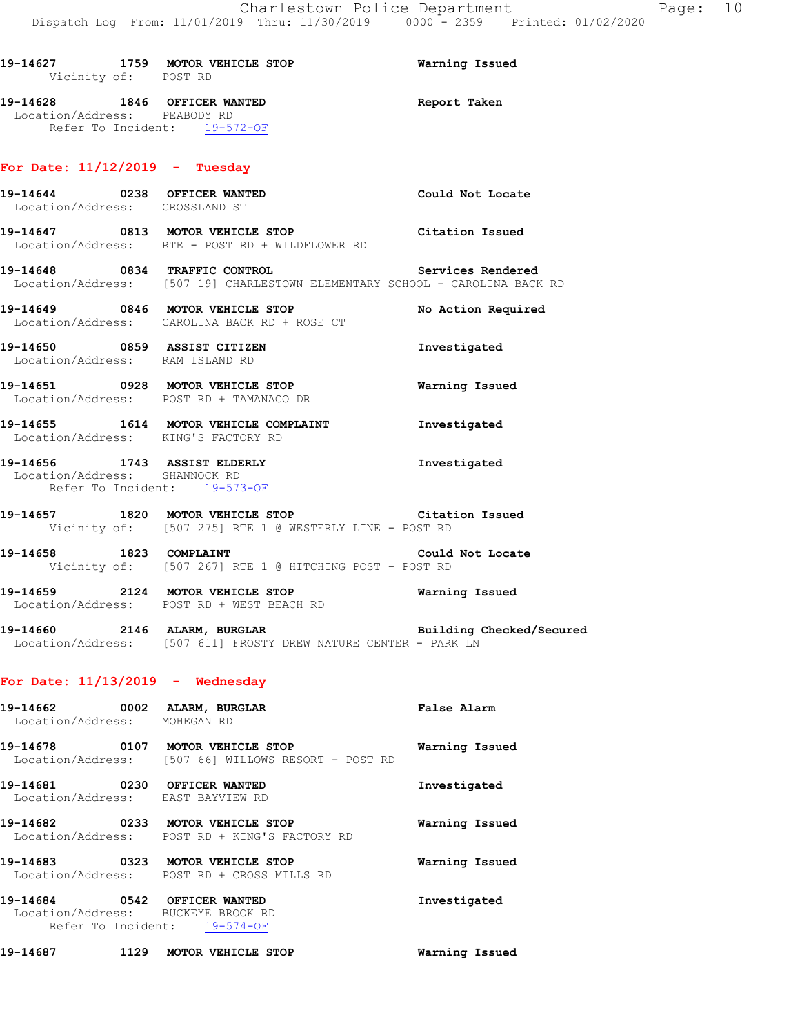| 19–14627<br>Vicinity of: POST RD | 1759 | MOTOR VEHICLE STOP           | Warning Issued |
|----------------------------------|------|------------------------------|----------------|
| 19–14628                         |      | <b>1846 OFFICER WANTED</b>   | Report Taken   |
| Location/Address: PEABODY RD     |      |                              |                |
|                                  |      | Refer To Incident: 19-572-OF |                |

# **For Date: 11/12/2019 - Tuesday**

| Location/Address: CROSSLAND ST     | 19-14644 0238 OFFICER WANTED Could Not Locate                                                                                    |                       |
|------------------------------------|----------------------------------------------------------------------------------------------------------------------------------|-----------------------|
|                                    | 19-14647 0813 MOTOR VEHICLE STOP Citation Issued<br>Location/Address: RTE - POST RD + WILDFLOWER RD                              |                       |
|                                    | 19-14648 0834 TRAFFIC CONTROL Services Rendered<br>Location/Address: [507 19] CHARLESTOWN ELEMENTARY SCHOOL - CAROLINA BACK RD   |                       |
|                                    | 19-14649 0846 MOTOR VEHICLE STOP<br>Location/Address: CAROLINA BACK RD + ROSE CT                                                 | No Action Required    |
|                                    | 19-14650 0859 ASSIST CITIZEN<br>Location/Address: RAM ISLAND RD                                                                  | Investigated          |
|                                    | 19-14651 0928 MOTOR VEHICLE STOP<br>Location/Address: POST RD + TAMANACO DR                                                      | <b>Warning Issued</b> |
|                                    | 19-14655 1614 MOTOR VEHICLE COMPLAINT 1nvestigated<br>Location/Address: KING'S FACTORY RD                                        |                       |
| Location/Address: SHANNOCK RD      | 19-14656 1743 ASSIST ELDERLY<br>Refer To Incident: 19-573-OF                                                                     | Investigated          |
|                                    | 19-14657 1820 MOTOR VEHICLE STOP Citation Issued<br>Vicinity of: [507 275] RTE 1 @ WESTERLY LINE - POST RD                       |                       |
|                                    | 19-14658 1823 COMPLAINT 19-14658<br>Vicinity of: [507 267] RTE 1 @ HITCHING POST - POST RD                                       |                       |
|                                    | 19-14659 2124 MOTOR VEHICLE STOP Warning Issued<br>Location/Address: POST RD + WEST BEACH RD                                     |                       |
|                                    | 19-14660 2146 ALARM, BURGLAR BURGLAR Building Checked/Secured<br>Location/Address: [507 611] FROSTY DREW NATURE CENTER - PARK LN |                       |
| For Date: $11/13/2019$ - Wednesday |                                                                                                                                  |                       |
| Location/Address: MOHEGAN RD       | 19-14662 0002 ALARM, BURGLAR                                                                                                     | <b>False Alarm</b>    |

| 19-14678<br>0107<br>Location/Address: | MOTOR VEHICLE STOP<br>[507 66] WILLOWS RESORT - POST RD  | Warning Issued |
|---------------------------------------|----------------------------------------------------------|----------------|
| 19–14681<br>0230<br>Location/Address: | OFFICER WANTED<br>EAST BAYVIEW RD                        | Investigated   |
| 19-14682<br>0233<br>Location/Address: | <b>MOTOR VEHICLE STOP</b><br>POST RD + KING'S FACTORY RD | Warning Issued |
| 19–14683<br>0323<br>Location/Address: | <b>MOTOR VEHICLE STOP</b><br>POST RD + CROSS MILLS RD    | Warning Issued |

**19-14684 0542 OFFICER WANTED Investigated**  Location/Address: BUCKEYE BROOK RD Refer To Incident: 19-574-OF

**19-14687 1129 MOTOR VEHICLE STOP Warning Issued**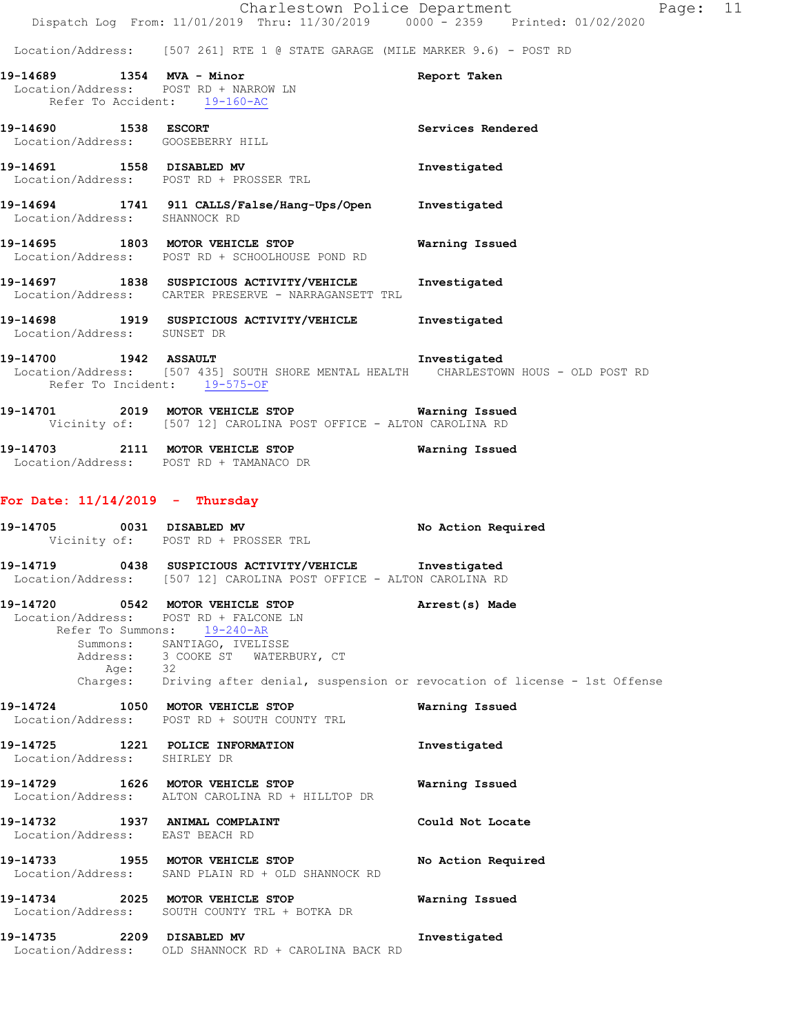Location/Address: [507 261] RTE 1 @ STATE GARAGE (MILE MARKER 9.6) - POST RD

| 19-14689 1354 MVA - Minor         | Location/Address: POST RD + NARROW LN<br>Refer To Accident: 19-160-AC                                                                                                                                                                                                                        | Report Taken       |
|-----------------------------------|----------------------------------------------------------------------------------------------------------------------------------------------------------------------------------------------------------------------------------------------------------------------------------------------|--------------------|
| 19-14690 1538 ESCORT              | Location/Address: GOOSEBERRY HILL                                                                                                                                                                                                                                                            | Services Rendered  |
|                                   | 19-14691 1558 DISABLED MV<br>Location/Address: POST RD + PROSSER TRL                                                                                                                                                                                                                         | Investigated       |
|                                   | 19-14694 1741 911 CALLS/False/Hang-Ups/Open Investigated<br>Location/Address: SHANNOCK RD                                                                                                                                                                                                    |                    |
|                                   | 19-14695 1803 MOTOR VEHICLE STOP<br>Location/Address: POST RD + SCHOOLHOUSE POND RD                                                                                                                                                                                                          | Warning Issued     |
|                                   | 19-14697 1838 SUSPICIOUS ACTIVITY/VEHICLE<br>Location/Address: CARTER PRESERVE - NARRAGANSETT TRL                                                                                                                                                                                            | Investigated       |
| Location/Address: SUNSET DR       | 19-14698 1919 SUSPICIOUS ACTIVITY/VEHICLE Investigated                                                                                                                                                                                                                                       |                    |
| 19-14700 1942 ASSAULT             | Location/Address: [507 435] SOUTH SHORE MENTAL HEALTH CHARLESTOWN HOUS - OLD POST RD<br>Refer To Incident: 19-575-OF                                                                                                                                                                         | Investigated       |
|                                   | 19-14701 2019 MOTOR VEHICLE STOP Warning Issued<br>Vicinity of: [507 12] CAROLINA POST OFFICE - ALTON CAROLINA RD                                                                                                                                                                            |                    |
|                                   | 19-14703 2111 MOTOR VEHICLE STOP Warning Issued<br>Location/Address: POST RD + TAMANACO DR                                                                                                                                                                                                   |                    |
| For Date: $11/14/2019$ - Thursday |                                                                                                                                                                                                                                                                                              |                    |
|                                   | 19-14705 0031 DISABLED MV<br>Vicinity of: POST RD + PROSSER TRL                                                                                                                                                                                                                              | No Action Required |
|                                   | 19-14719 0438 SUSPICIOUS ACTIVITY/VEHICLE Investigated<br>Location/Address: [507 12] CAROLINA POST OFFICE - ALTON CAROLINA RD                                                                                                                                                                |                    |
|                                   | 19-14720 0542 MOTOR VEHICLE STOP (Arrest(s) Made<br>Location/Address: POST RD + FALCONE LN<br>Refer To Summons: 19-240-AR<br>Summons: SANTIAGO, IVELISSE<br>Address: 3 COOKE ST WATERBURY, CT<br>Age: 32<br>Charges: Driving after denial, suspension or revocation of license - 1st Offense |                    |

- **19-14724 1050 MOTOR VEHICLE STOP Warning Issued**  Location/Address: POST RD + SOUTH COUNTY TRL
- **19-14725 1221 POLICE INFORMATION Investigated**  Location/Address: SHIRLEY DR **19-14729 1626 MOTOR VEHICLE STOP Warning Issued**  Location/Address: ALTON CAROLINA RD + HILLTOP DR **19-14732 1937 ANIMAL COMPLAINT Could Not Locate**  Location/Address: EAST BEACH RD **19-14733 1955 MOTOR VEHICLE STOP No Action Required**  Location/Address: SAND PLAIN RD + OLD SHANNOCK RD
- **19-14734 2025 MOTOR VEHICLE STOP Warning Issued**  Location/Address: SOUTH COUNTY TRL + BOTKA DR **19-14735 2209 DISABLED MV Investigated**
- Location/Address: OLD SHANNOCK RD + CAROLINA BACK RD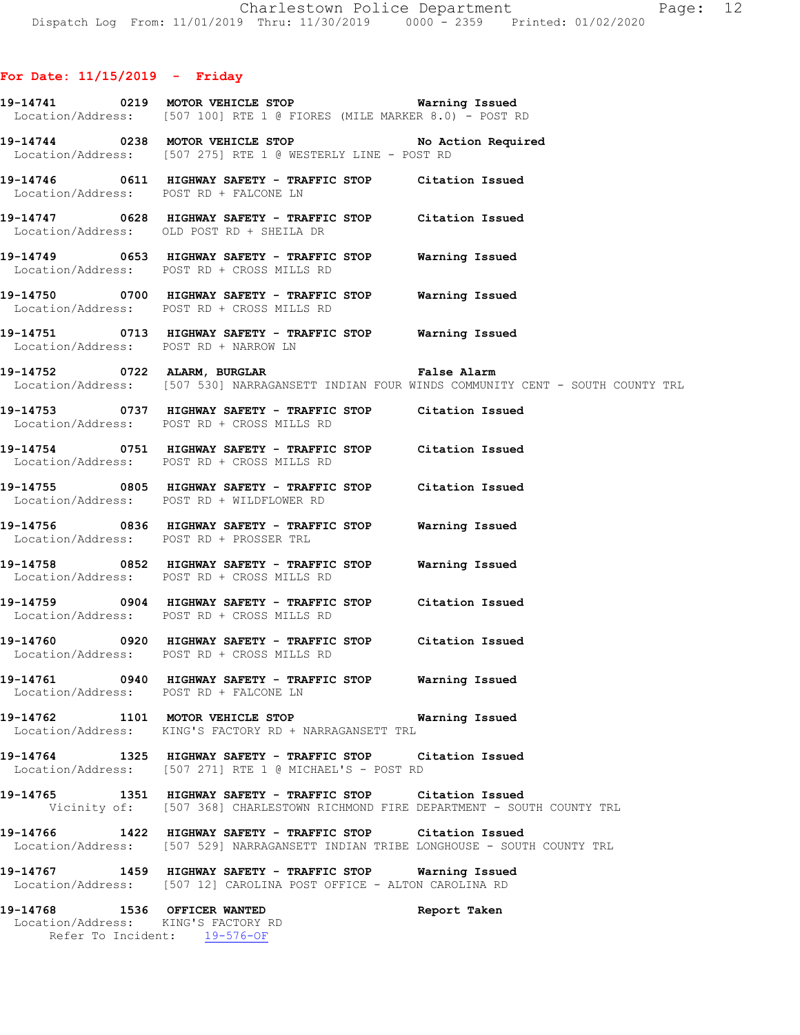- **19-14741 0219 MOTOR VEHICLE STOP Warning Issued**  Location/Address: [507 100] RTE 1 @ FIORES (MILE MARKER 8.0) - POST RD
- **19-14744 0238 MOTOR VEHICLE STOP No Action Required**  Location/Address: [507 275] RTE 1 @ WESTERLY LINE - POST RD
- **19-14746 0611 HIGHWAY SAFETY TRAFFIC STOP Citation Issued**  Location/Address: POST RD + FALCONE LN
- **19-14747 0628 HIGHWAY SAFETY TRAFFIC STOP Citation Issued**  Location/Address: OLD POST RD + SHEILA DR
- **19-14749 0653 HIGHWAY SAFETY TRAFFIC STOP Warning Issued**  Location/Address: POST RD + CROSS MILLS RD
- **19-14750 0700 HIGHWAY SAFETY TRAFFIC STOP Warning Issued**  Location/Address: POST RD + CROSS MILLS RD
- **19-14751 0713 HIGHWAY SAFETY TRAFFIC STOP Warning Issued**  Location/Address: POST RD + NARROW LN
- **19-14752 0722 ALARM, BURGLAR False Alarm**  Location/Address: [507 530] NARRAGANSETT INDIAN FOUR WINDS COMMUNITY CENT - SOUTH COUNTY TRL
- **19-14753 0737 HIGHWAY SAFETY TRAFFIC STOP Citation Issued**  Location/Address: POST RD + CROSS MILLS RD
- **19-14754 0751 HIGHWAY SAFETY TRAFFIC STOP Citation Issued**  Location/Address: POST RD + CROSS MILLS RD
- **19-14755 0805 HIGHWAY SAFETY TRAFFIC STOP Citation Issued**  Location/Address: POST RD + WILDFLOWER RD
- **19-14756 0836 HIGHWAY SAFETY TRAFFIC STOP Warning Issued**  Location/Address: POST RD + PROSSER TRL
- **19-14758 0852 HIGHWAY SAFETY TRAFFIC STOP Warning Issued**  Location/Address: POST RD + CROSS MILLS RD
- **19-14759 0904 HIGHWAY SAFETY TRAFFIC STOP Citation Issued**  Location/Address: POST RD + CROSS MILLS RD
- **19-14760 0920 HIGHWAY SAFETY TRAFFIC STOP Citation Issued**  Location/Address: POST RD + CROSS MILLS RD
- **19-14761 0940 HIGHWAY SAFETY TRAFFIC STOP Warning Issued**  Location/Address: POST RD + FALCONE LN
- **19-14762 1101 MOTOR VEHICLE STOP Warning Issued**  Location/Address: KING'S FACTORY RD + NARRAGANSETT TRL
- **19-14764 1325 HIGHWAY SAFETY TRAFFIC STOP Citation Issued**  Location/Address: [507 271] RTE 1 @ MICHAEL'S - POST RD
- **19-14765 1351 HIGHWAY SAFETY TRAFFIC STOP Citation Issued**  Vicinity of: [507 368] CHARLESTOWN RICHMOND FIRE DEPARTMENT - SOUTH COUNTY TRL
- **19-14766 1422 HIGHWAY SAFETY TRAFFIC STOP Citation Issued**  Location/Address: [507 529] NARRAGANSETT INDIAN TRIBE LONGHOUSE - SOUTH COUNTY TRL
- **19-14767 1459 HIGHWAY SAFETY TRAFFIC STOP Warning Issued**  Location/Address: [507 12] CAROLINA POST OFFICE - ALTON CAROLINA RD
- **19-14768 1536 OFFICER WANTED Report Taken**  Location/Address: KING'S FACTORY RD Refer To Incident: 19-576-OF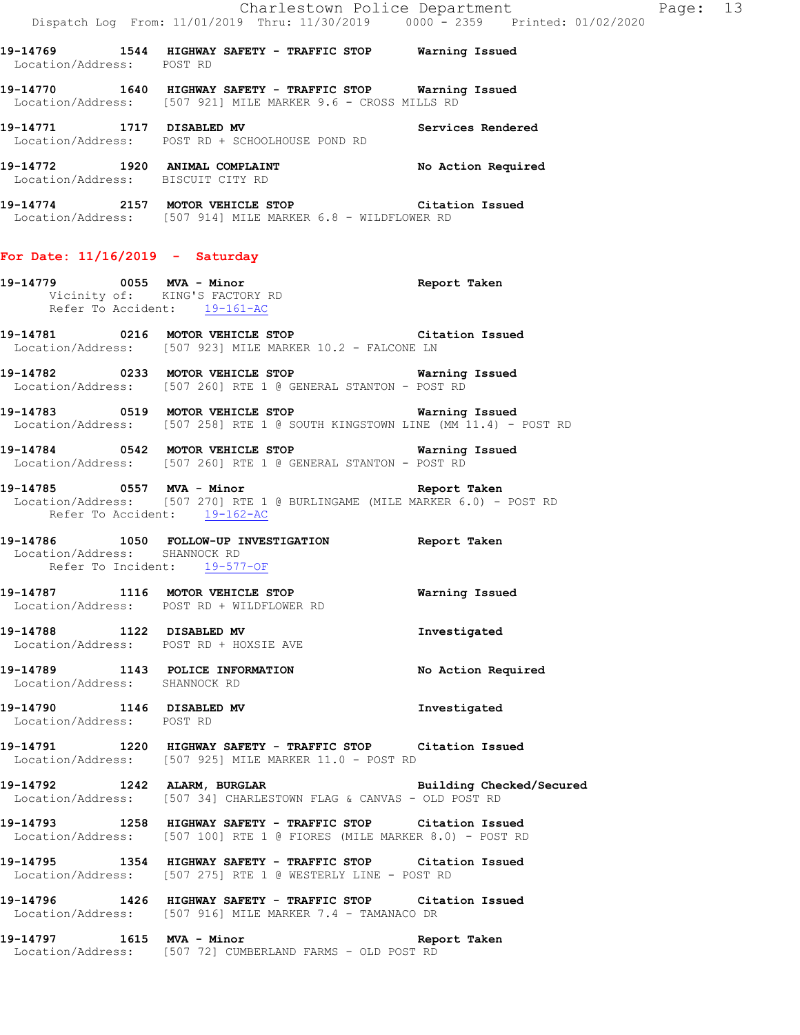**19-14769 1544 HIGHWAY SAFETY - TRAFFIC STOP Warning Issued**  Location/Address: POST RD

**19-14770 1640 HIGHWAY SAFETY - TRAFFIC STOP Warning Issued**  Location/Address: [507 921] MILE MARKER 9.6 - CROSS MILLS RD

**19-14771 1717 DISABLED MV Services Rendered**  Location/Address: POST RD + SCHOOLHOUSE POND RD

**19-14772 1920 ANIMAL COMPLAINT No Action Required**  Location/Address: BISCUIT CITY RD

**19-14774 2157 MOTOR VEHICLE STOP Citation Issued**  Location/Address: [507 914] MILE MARKER 6.8 - WILDFLOWER RD

### **For Date: 11/16/2019 - Saturday**

**19-14779 0055 MVA - Minor Report Taken**  Vicinity of: KING'S FACTORY RD Refer To Accident: 19-161-AC

**19-14781 0216 MOTOR VEHICLE STOP Citation Issued**  Location/Address: [507 923] MILE MARKER 10.2 - FALCONE LN

**19-14782 0233 MOTOR VEHICLE STOP Warning Issued**  Location/Address: [507 260] RTE 1 @ GENERAL STANTON - POST RD

**19-14783 0519 MOTOR VEHICLE STOP Warning Issued**  Location/Address: [507 258] RTE 1 @ SOUTH KINGSTOWN LINE (MM 11.4) - POST RD

**19-14784 0542 MOTOR VEHICLE STOP Warning Issued**  Location/Address: [507 260] RTE 1 @ GENERAL STANTON - POST RD

**19-14785 0557 MVA - Minor Report Taken**  Location/Address: [507 270] RTE 1 @ BURLINGAME (MILE MARKER 6.0) - POST RD Refer To Accident: 19-162-AC

**19-14786 1050 FOLLOW-UP INVESTIGATION Report Taken**  Location/Address: SHANNOCK RD Refer To Incident: 19-577-OF

**19-14787 1116 MOTOR VEHICLE STOP Warning Issued**  Location/Address: POST RD + WILDFLOWER RD

**19-14788 1122 DISABLED MV Investigated**  Location/Address: POST RD + HOXSIE AVE **19-14789 1143 POLICE INFORMATION No Action Required** 

 Location/Address: SHANNOCK RD **19-14790 1146 DISABLED MV Investigated** 

Location/Address: POST RD

**19-14791 1220 HIGHWAY SAFETY - TRAFFIC STOP Citation Issued**  Location/Address: [507 925] MILE MARKER 11.0 - POST RD

**19-14792 1242 ALARM, BURGLAR Building Checked/Secured**  Location/Address: [507 34] CHARLESTOWN FLAG & CANVAS - OLD POST RD

**19-14793 1258 HIGHWAY SAFETY - TRAFFIC STOP Citation Issued**  Location/Address: [507 100] RTE 1 @ FIORES (MILE MARKER 8.0) - POST RD

**19-14795 1354 HIGHWAY SAFETY - TRAFFIC STOP Citation Issued**  Location/Address: [507 275] RTE 1 @ WESTERLY LINE - POST RD

**19-14796 1426 HIGHWAY SAFETY - TRAFFIC STOP Citation Issued**  Location/Address: [507 916] MILE MARKER 7.4 - TAMANACO DR

**19-14797 1615 MVA - Minor Report Taken**  Location/Address: [507 72] CUMBERLAND FARMS - OLD POST RD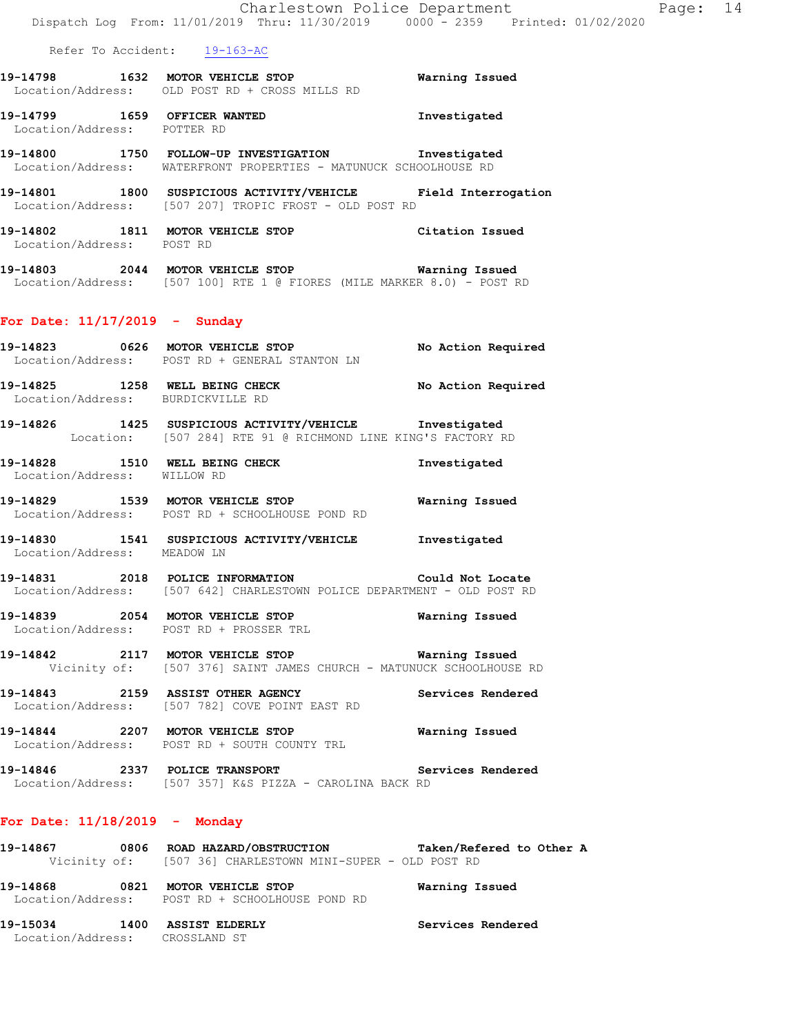- **19-14798 1632 MOTOR VEHICLE STOP Warning Issued**  Location/Address: OLD POST RD + CROSS MILLS RD
- **19-14799 1659 OFFICER WANTED Investigated**  Location/Address: POTTER RD
- **19-14800 1750 FOLLOW-UP INVESTIGATION Investigated**  Location/Address: WATERFRONT PROPERTIES - MATUNUCK SCHOOLHOUSE RD
- **19-14801 1800 SUSPICIOUS ACTIVITY/VEHICLE Field Interrogation**  Location/Address: [507 207] TROPIC FROST - OLD POST RD
- **19-14802 1811 MOTOR VEHICLE STOP Citation Issued**  Location/Address: POST RD
- **19-14803 2044 MOTOR VEHICLE STOP Warning Issued**  Location/Address: [507 100] RTE 1 @ FIORES (MILE MARKER 8.0) - POST RD

#### **For Date: 11/17/2019 - Sunday**

- **19-14823 0626 MOTOR VEHICLE STOP No Action Required**  Location/Address: POST RD + GENERAL STANTON LN 19-14825 **1258** WELL BEING CHECK **No Action Required**  Location/Address: BURDICKVILLE RD **19-14826 1425 SUSPICIOUS ACTIVITY/VEHICLE Investigated**  Location: [507 284] RTE 91 @ RICHMOND LINE KING'S FACTORY RD 19-14828 1510 WELL BEING CHECK **Investigated**  Location/Address: WILLOW RD **19-14829 1539 MOTOR VEHICLE STOP Warning Issued**  Location/Address: POST RD + SCHOOLHOUSE POND RD **19-14830 1541 SUSPICIOUS ACTIVITY/VEHICLE Investigated**  Location/Address: MEADOW LN **19-14831 2018 POLICE INFORMATION Could Not Locate**  Location/Address: [507 642] CHARLESTOWN POLICE DEPARTMENT - OLD POST RD **19-14839 2054 MOTOR VEHICLE STOP Warning Issued**  Location/Address: POST RD + PROSSER TRL **19-14842 2117 MOTOR VEHICLE STOP Warning Issued**  Vicinity of: [507 376] SAINT JAMES CHURCH - MATUNUCK SCHOOLHOUSE RD **19-14843 2159 ASSIST OTHER AGENCY Services Rendered**  Location/Address: [507 782] COVE POINT EAST RD
- **19-14844 2207 MOTOR VEHICLE STOP Warning Issued**  Location/Address: POST RD + SOUTH COUNTY TRL
- **19-14846 2337 POLICE TRANSPORT Services Rendered**  Location/Address: [507 357] K&S PIZZA - CAROLINA BACK RD

# **For Date: 11/18/2019 - Monday**

| 19-14867          |      | 0806 ROAD HAZARD/OBSTRUCTION                               | Taken/Refered to Other A |
|-------------------|------|------------------------------------------------------------|--------------------------|
|                   |      | Vicinity of: [507 36] CHARLESTOWN MINI-SUPER - OLD POST RD |                          |
| 19-14868          | 0821 | MOTOR VEHICLE STOP                                         | Warning Issued           |
| Location/Address: |      | POST RD + SCHOOLHOUSE POND RD                              |                          |

**19-15034 1400 ASSIST ELDERLY Services Rendered**  Location/Address: CROSSLAND ST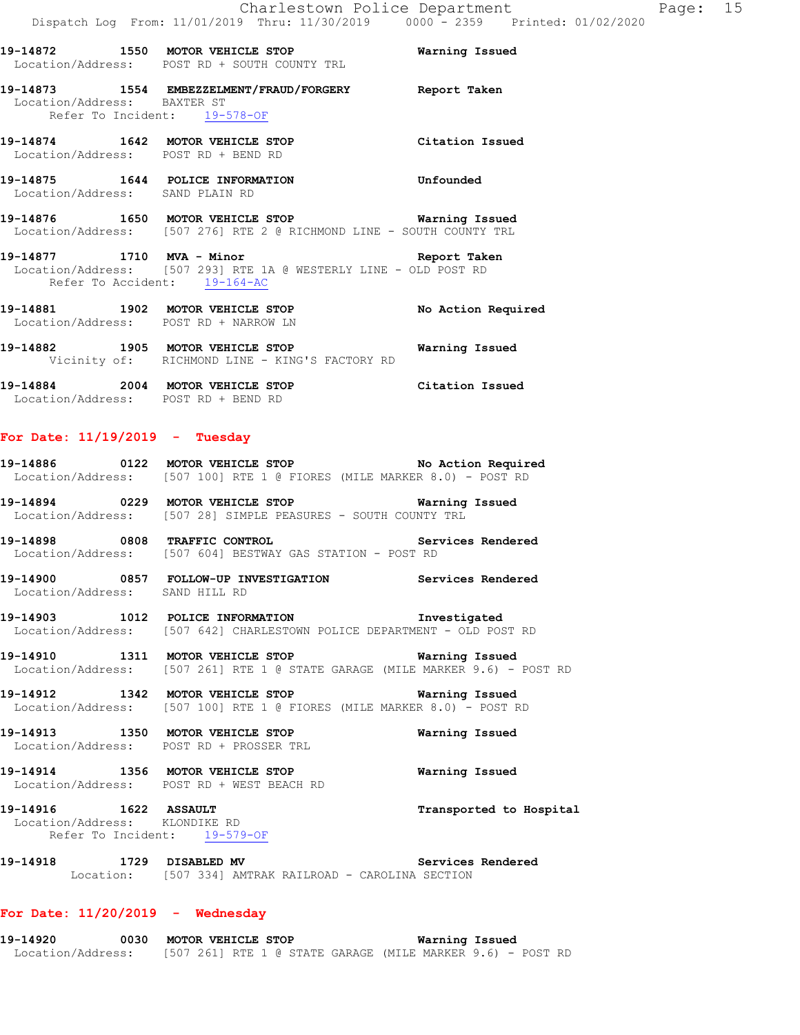**19-14872 1550 MOTOR VEHICLE STOP Warning Issued**  Location/Address: POST RD + SOUTH COUNTY TRL **19-14873 1554 EMBEZZELMENT/FRAUD/FORGERY Report Taken**  Location/Address: BAXTER ST Refer To Incident: 19-578-OF **19-14874 1642 MOTOR VEHICLE STOP Citation Issued**  Location/Address: POST RD + BEND RD **19-14875 1644 POLICE INFORMATION Unfounded**  Location/Address: SAND PLAIN RD **19-14876 1650 MOTOR VEHICLE STOP Warning Issued**  Location/Address: [507 276] RTE 2 @ RICHMOND LINE - SOUTH COUNTY TRL **19-14877 1710 MVA - Minor Report Taken**  Location/Address: [507 293] RTE 1A @ WESTERLY LINE - OLD POST RD Refer To Accident: 19-164-AC **19-14881 1902 MOTOR VEHICLE STOP No Action Required**  Location/Address: POST RD + NARROW LN **19-14882 1905 MOTOR VEHICLE STOP Warning Issued**  Vicinity of: RICHMOND LINE - KING'S FACTORY RD **19-14884 2004 MOTOR VEHICLE STOP Citation Issued** 

# **For Date: 11/19/2019 - Tuesday**

Location/Address: POST RD + BEND RD

| 19-14886 | 0122 | No Action Required<br>MOTOR VEHICLE STOP<br>Location/Address: [507 100] RTE 1 @ FIORES (MILE MARKER 8.0) - POST RD |  |
|----------|------|--------------------------------------------------------------------------------------------------------------------|--|
| 19-14894 | 0229 | Warning Issued<br>MOTOR VEHICLE STOP<br>Location/Address: [507 28] SIMPLE PEASURES - SOUTH COUNTY TRL              |  |
| 19-14898 | 0808 | Services Rendered<br>TRAFFIC CONTROL<br>Location/Address: [507 604] BESTWAY GAS STATION - POST RD                  |  |

**19-14900 0857 FOLLOW-UP INVESTIGATION Services Rendered**  Location/Address: SAND HILL RD

**19-14903 1012 POLICE INFORMATION Investigated**  Location/Address: [507 642] CHARLESTOWN POLICE DEPARTMENT - OLD POST RD

**19-14910 1311 MOTOR VEHICLE STOP Warning Issued**  Location/Address: [507 261] RTE 1 @ STATE GARAGE (MILE MARKER 9.6) - POST RD

**19-14912 1342 MOTOR VEHICLE STOP Warning Issued**  Location/Address: [507 100] RTE 1 @ FIORES (MILE MARKER 8.0) - POST RD

**19-14913 1350 MOTOR VEHICLE STOP Warning Issued**  Location/Address: POST RD + PROSSER TRL

**19-14914 1356 MOTOR VEHICLE STOP Warning Issued**  Location/Address: POST RD + WEST BEACH RD

**19-14916 1622 ASSAULT Transported to Hospital**  Location/Address: KLONDIKE RD Refer To Incident: 19-579-OF

**19-14918 1729 DISABLED MV Services Rendered**  Location: [507 334] AMTRAK RAILROAD - CAROLINA SECTION

#### **For Date: 11/20/2019 - Wednesday**

**19-14920 0030 MOTOR VEHICLE STOP Warning Issued**  Location/Address: [507 261] RTE 1 @ STATE GARAGE (MILE MARKER 9.6) - POST RD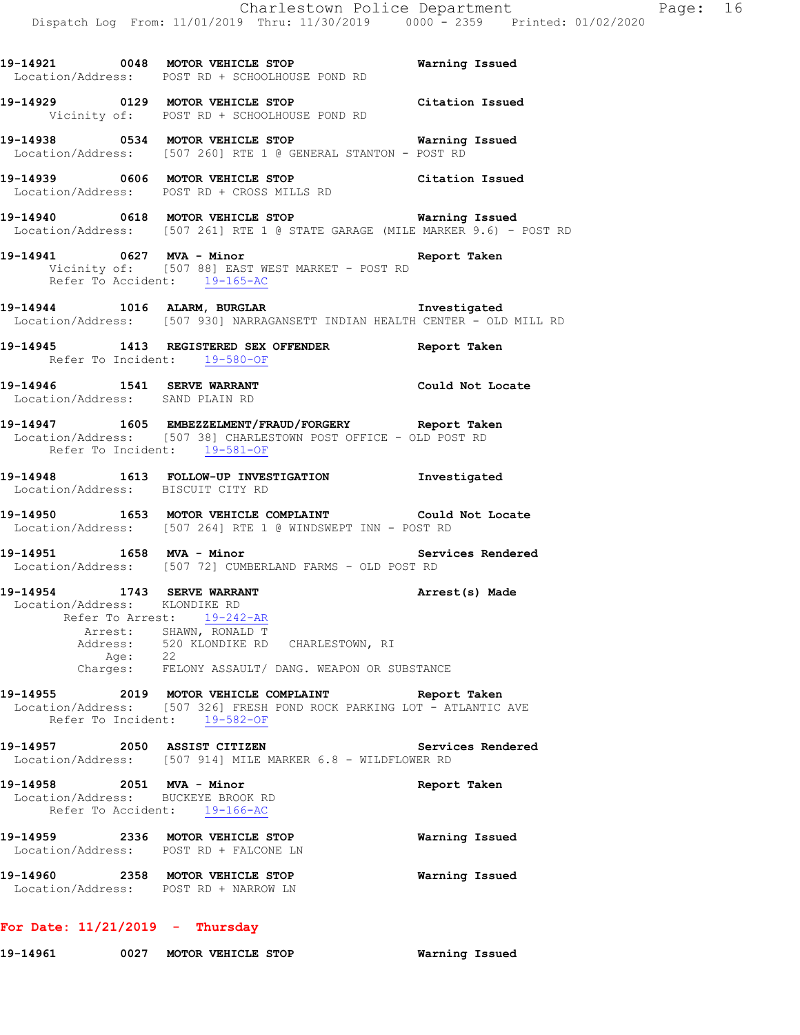**19-14921 0048 MOTOR VEHICLE STOP Warning Issued**  Location/Address: POST RD + SCHOOLHOUSE POND RD

**19-14929 0129 MOTOR VEHICLE STOP Citation Issued**  Vicinity of: POST RD + SCHOOLHOUSE POND RD

**19-14938 0534 MOTOR VEHICLE STOP Warning Issued**  Location/Address: [507 260] RTE 1 @ GENERAL STANTON - POST RD

**19-14939 0606 MOTOR VEHICLE STOP Citation Issued**  Location/Address: POST RD + CROSS MILLS RD

**19-14940 0618 MOTOR VEHICLE STOP Warning Issued**  Location/Address: [507 261] RTE 1 @ STATE GARAGE (MILE MARKER 9.6) - POST RD

**19-14941 0627 MVA - Minor Report Taken**  Vicinity of: [507 88] EAST WEST MARKET - POST RD Refer To Accident: 19-165-AC

**19-14944 1016 ALARM, BURGLAR Investigated**  Location/Address: [507 930] NARRAGANSETT INDIAN HEALTH CENTER - OLD MILL RD

**19-14945 1413 REGISTERED SEX OFFENDER Report Taken**  Refer To Incident: 19-580-OF

**19-14946 1541 SERVE WARRANT Could Not Locate**  Location/Address: SAND PLAIN RD

**19-14947 1605 EMBEZZELMENT/FRAUD/FORGERY Report Taken**  Location/Address: [507 38] CHARLESTOWN POST OFFICE - OLD POST RD Refer To Incident: 19-581-OF

**19-14948 1613 FOLLOW-UP INVESTIGATION Investigated**  Location/Address: BISCUIT CITY RD

**19-14950 1653 MOTOR VEHICLE COMPLAINT Could Not Locate**  Location/Address: [507 264] RTE 1 @ WINDSWEPT INN - POST RD

**19-14951 1658 MVA - Minor Services Rendered**  Location/Address: [507 72] CUMBERLAND FARMS - OLD POST RD

**19-14954 1743 SERVE WARRANT Arrest(s) Made**  Location/Address: KLONDIKE RD Refer To Arrest: 19-242-AR Arrest: SHAWN, RONALD T Address: 520 KLONDIKE RD CHARLESTOWN, RI Age: 22

Charges: FELONY ASSAULT/ DANG. WEAPON OR SUBSTANCE

**19-14955 2019 MOTOR VEHICLE COMPLAINT Report Taken**  Location/Address: [507 326] FRESH POND ROCK PARKING LOT - ATLANTIC AVE Refer To Incident: 19-582-OF

**19-14957 2050 ASSIST CITIZEN Services Rendered**  Location/Address: [507 914] MILE MARKER 6.8 - WILDFLOWER RD

**19-14958 2051 MVA - Minor Report Taken**  Location/Address: BUCKEYE BROOK RD Refer To Accident: 19-166-AC **19-14959 2336 MOTOR VEHICLE STOP Warning Issued**  Location/Address: POST RD + FALCONE LN

**19-14960 2358 MOTOR VEHICLE STOP Warning Issued**  Location/Address: POST RD + NARROW LN

**For Date: 11/21/2019 - Thursday**

**19-14961 0027 MOTOR VEHICLE STOP Warning Issued**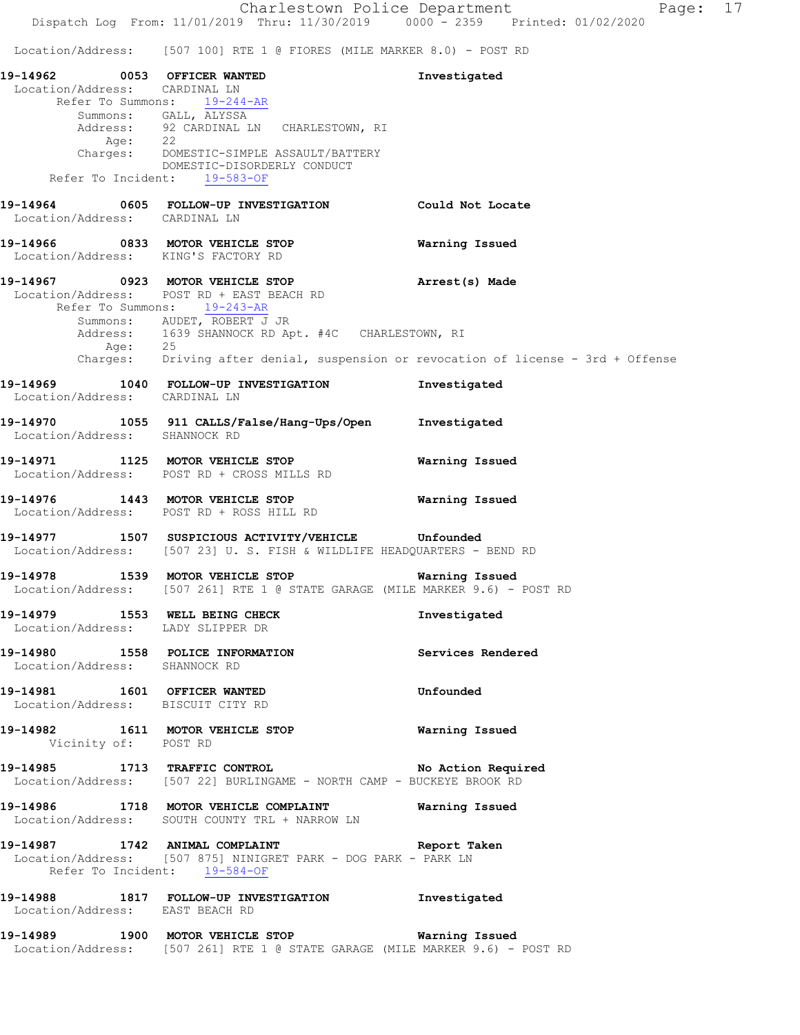# Location/Address: [507 100] RTE 1 @ FIORES (MILE MARKER 8.0) - POST RD

**19-14962 0053 OFFICER WANTED Investigated**  Location/Address: CARDINAL LN Refer To Summons: 19-244-AR Summons: GALL, ALYSSA<br>Address: 92 CARDINAL LN 92 CARDINAL LN CHARLESTOWN, RI Age: 22 Charges: DOMESTIC-SIMPLE ASSAULT/BATTERY DOMESTIC-DISORDERLY CONDUCT Refer To Incident: 19-583-OF **19-14964 0605 FOLLOW-UP INVESTIGATION Could Not Locate**  Location/Address: CARDINAL LN **19-14966 0833 MOTOR VEHICLE STOP Warning Issued**  Location/Address: KING'S FACTORY RD **19-14967 0923 MOTOR VEHICLE STOP Arrest(s) Made**  Location/Address: POST RD + EAST BEACH RD Refer To Summons: 19-243-AR Summons: AUDET, ROBERT J JR Address: 1639 SHANNOCK RD Apt. #4C CHARLESTOWN, RI Age: 25 Charges: Driving after denial, suspension or revocation of license - 3rd + Offense **19-14969 1040 FOLLOW-UP INVESTIGATION Investigated**  Location/Address: CARDINAL LN **19-14970 1055 911 CALLS/False/Hang-Ups/Open Investigated**  Location/Address: SHANNOCK RD **19-14971 1125 MOTOR VEHICLE STOP Warning Issued**  Location/Address: POST RD + CROSS MILLS RD **19-14976 1443 MOTOR VEHICLE STOP Warning Issued**  Location/Address: POST RD + ROSS HILL RD **19-14977 1507 SUSPICIOUS ACTIVITY/VEHICLE Unfounded**  Location/Address: [507 23] U. S. FISH & WILDLIFE HEADQUARTERS - BEND RD **19-14978 1539 MOTOR VEHICLE STOP Warning Issued**  Location/Address: [507 261] RTE 1 @ STATE GARAGE (MILE MARKER 9.6) - POST RD **19-14979 1553 WELL BEING CHECK Investigated**  Location/Address: LADY SLIPPER DR **19-14980 1558 POLICE INFORMATION Services Rendered**  Location/Address: SHANNOCK RD **19-14981 1601 OFFICER WANTED Unfounded**  Location/Address: BISCUIT CITY RD **19-14982 1611 MOTOR VEHICLE STOP Warning Issued**  Vicinity of: POST RD **19-14985 1713 TRAFFIC CONTROL No Action Required**  Location/Address: [507 22] BURLINGAME - NORTH CAMP - BUCKEYE BROOK RD **19-14986 1718 MOTOR VEHICLE COMPLAINT Warning Issued**  Location/Address: SOUTH COUNTY TRL + NARROW LN **19-14987 1742 ANIMAL COMPLAINT Report Taken**  Location/Address: [507 875] NINIGRET PARK - DOG PARK - PARK LN Refer To Incident: 19-584-OF **19-14988 1817 FOLLOW-UP INVESTIGATION Investigated**  Location/Address: EAST BEACH RD **19-14989 1900 MOTOR VEHICLE STOP Warning Issued**  Location/Address: [507 261] RTE 1 @ STATE GARAGE (MILE MARKER 9.6) - POST RD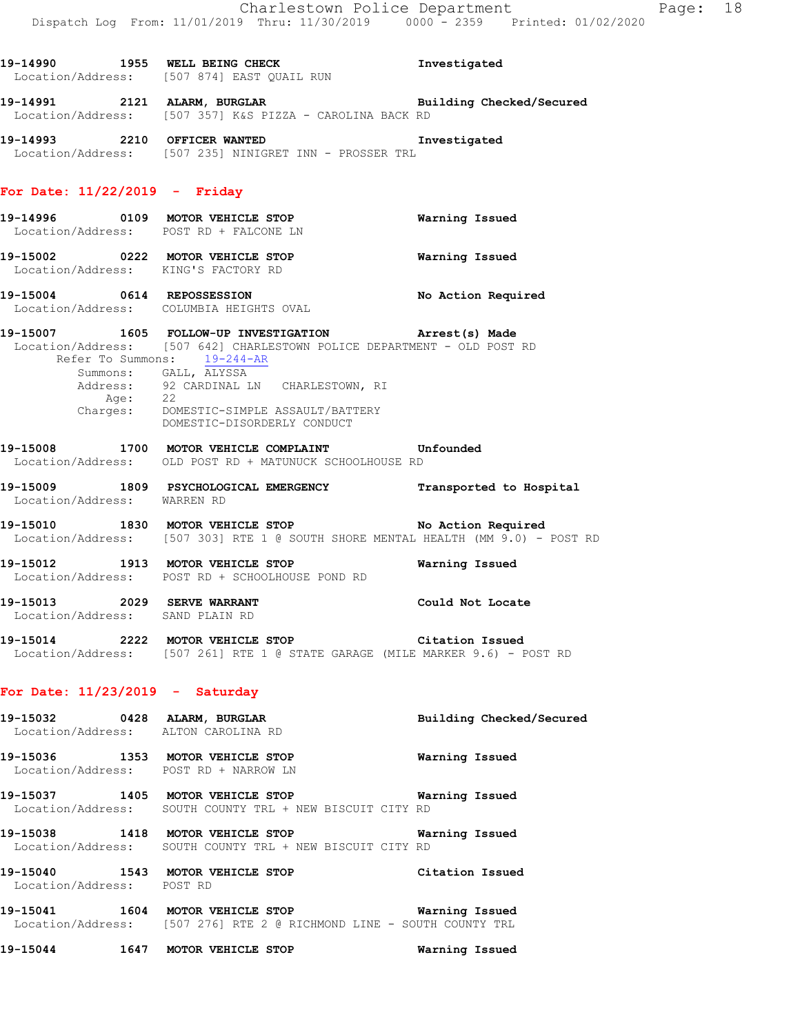**19-14990 1955 WELL BEING CHECK Investigated** 

|                                                                | Location/Address: [507 874] EAST QUAIL RUN                                                                                                                                                                                                                                                                              |                    |
|----------------------------------------------------------------|-------------------------------------------------------------------------------------------------------------------------------------------------------------------------------------------------------------------------------------------------------------------------------------------------------------------------|--------------------|
|                                                                | 19-14991 2121 ALARM, BURGLAR Building Checked/Secured<br>Location/Address: [507 357] K&S PIZZA - CAROLINA BACK RD                                                                                                                                                                                                       |                    |
|                                                                | 19-14993 19-14993 12210 OFFICER WANTED<br>Location/Address: [507 235] NINIGRET INN - PROSSER TRL                                                                                                                                                                                                                        | Investigated       |
| For Date: $11/22/2019$ - Friday                                |                                                                                                                                                                                                                                                                                                                         |                    |
|                                                                | Location/Address: POST RD + FALCONE LN                                                                                                                                                                                                                                                                                  |                    |
| Location/Address: KING'S FACTORY RD                            | 19-15002 0222 MOTOR VEHICLE STOP                                                                                                                                                                                                                                                                                        | Warning Issued     |
|                                                                | 19-15004 0614 REPOSSESSION<br>Location/Address: COLUMBIA HEIGHTS OVAL                                                                                                                                                                                                                                                   | No Action Required |
| Refer To Summons: 19-244-AR                                    | 19-15007 1605 FOLLOW-UP INVESTIGATION Arrest(s) Made<br>Location/Address: [507 642] CHARLESTOWN POLICE DEPARTMENT - OLD POST RD<br>Summons: GALL, ALYSSA<br>Address: 92 CARDINAL LN CHARLESTOWN, RI<br>Age: 22<br>Charges: DOMESTIC-SIMPLE ASSAULT/BATTERY<br>NOMESTIC-DISOPPERY CONDUCT<br>DOMESTIC-DISORDERLY CONDUCT |                    |
|                                                                | 19-15008 1700 MOTOR VEHICLE COMPLAINT Unfounded<br>Location/Address: OLD POST RD + MATUNUCK SCHOOLHOUSE RD                                                                                                                                                                                                              |                    |
| Location/Address: WARREN RD                                    | 19-15009 1809 PSYCHOLOGICAL EMERGENCY Transported to Hospital                                                                                                                                                                                                                                                           |                    |
|                                                                | 19-15010 1830 MOTOR VEHICLE STOP No Action Required<br>Location/Address: [507 303] RTE 1 @ SOUTH SHORE MENTAL HEALTH (MM 9.0) - POST RD                                                                                                                                                                                 |                    |
|                                                                | 19-15012 1913 MOTOR VEHICLE STOP<br>Location/Address: POST RD + SCHOOLHOUSE POND RD                                                                                                                                                                                                                                     | Warning Issued     |
| 19-15013 2029 SERVE WARRANT<br>Location/Address: SAND PLAIN RD |                                                                                                                                                                                                                                                                                                                         | Could Not Locate   |
|                                                                | 19-15014 2222 MOTOR VEHICLE STOP Citation Issued<br>Location/Address: [507 261] RTE 1 @ STATE GARAGE (MILE MARKER 9.6) - POST RD                                                                                                                                                                                        |                    |
| For Date: $11/23/2019$ - Saturday                              |                                                                                                                                                                                                                                                                                                                         |                    |

| 19-15032                              |      | 0428 ALARM, BURGLAR<br>Location/Address: ALTON CAROLINA RD                          | Building Checked/Secured |
|---------------------------------------|------|-------------------------------------------------------------------------------------|--------------------------|
| 19-15036                              | 1353 | MOTOR VEHICLE STOP<br>Location/Address: POST RD + NARROW LN                         | Warning Issued           |
| 19-15037                              | 1405 | MOTOR VEHICLE STOP<br>Location/Address: SOUTH COUNTY TRL + NEW BISCUIT CITY RD      | Warning Issued           |
| 19-15038                              |      | 1418 MOTOR VEHICLE STOP<br>Location/Address: SOUTH COUNTY TRL + NEW BISCUIT CITY RD | Warning Issued           |
| 19-15040<br>Location/Address: POST RD | 1543 | MOTOR VEHICLE STOP                                                                  | Citation Issued          |
| .                                     |      | $1.001$ $1.00000$ $1.00000$ $1.0000$                                                | __ _ _ _                 |

**19-15041 1604 MOTOR VEHICLE STOP Warning Issued**  Location/Address: [507 276] RTE 2 @ RICHMOND LINE - SOUTH COUNTY TRL

**19-15044 1647 MOTOR VEHICLE STOP Warning Issued**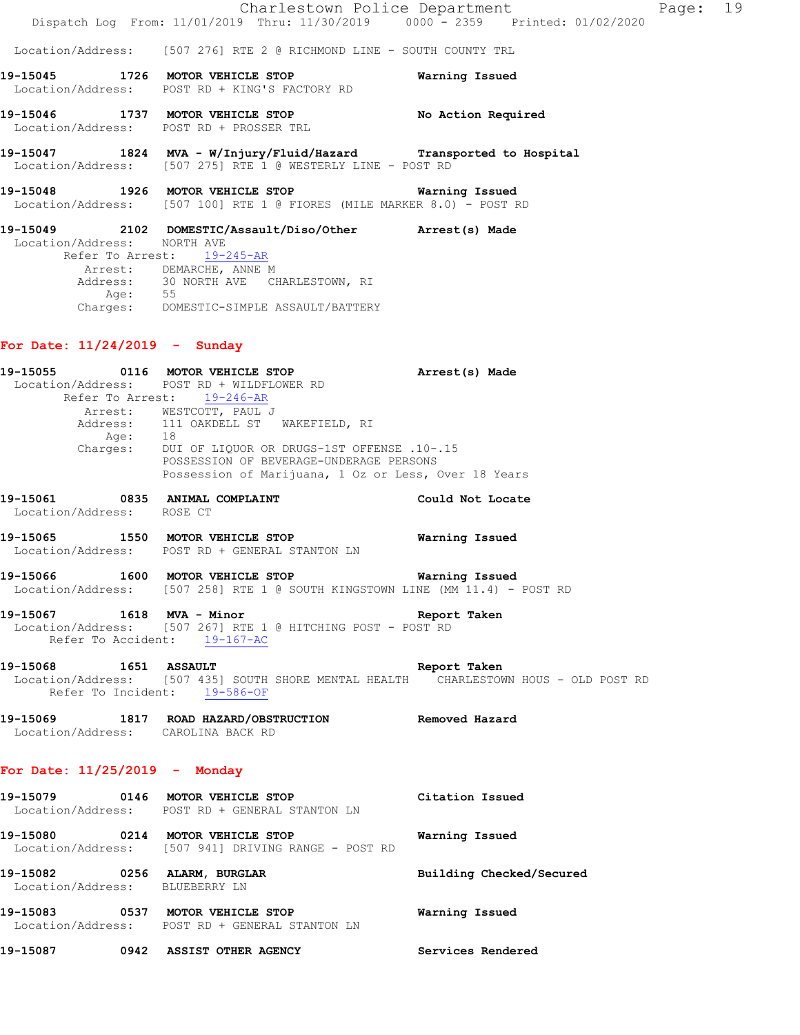|                                     |                                                                                                                                                                                                               | Charlestown Police Department | Page: 19 |  |
|-------------------------------------|---------------------------------------------------------------------------------------------------------------------------------------------------------------------------------------------------------------|-------------------------------|----------|--|
|                                     | Dispatch Log From: 11/01/2019 Thru: 11/30/2019 0000 - 2359 Printed: 01/02/2020                                                                                                                                |                               |          |  |
|                                     | Location/Address: [507 276] RTE 2 @ RICHMOND LINE - SOUTH COUNTY TRL                                                                                                                                          |                               |          |  |
|                                     | 19-15045 1726 MOTOR VEHICLE STOP<br>Location/Address: POST RD + KING'S FACTORY RD                                                                                                                             | Warning Issued                |          |  |
|                                     | 19-15046 1737 MOTOR VEHICLE STOP<br>Location/Address: POST RD + PROSSER TRL                                                                                                                                   | No Action Required            |          |  |
|                                     | 19-15047 1824 MVA - W/Injury/Fluid/Hazard Transported to Hospital<br>Location/Address: [507 275] RTE 1 @ WESTERLY LINE - POST RD                                                                              |                               |          |  |
|                                     | 19-15048 1926 MOTOR VEHICLE STOP <b>Warning Issued</b><br>  Location/Address: [507 100] RTE 1 @ FIORES (MILE MARKER 8.0) - POST RD                                                                            |                               |          |  |
| Location/Address: NORTH AVE<br>Age: | 19-15049 2102 DOMESTIC/Assault/Diso/Other Arrest(s) Made<br>Refer To Arrest: 19-245-AR<br>Arrest: DEMARCHE, ANNE M<br>Address: 30 NORTH AVE CHARLESTOWN, RI<br>55<br>Charges: DOMESTIC-SIMPLE ASSAULT/BATTERY |                               |          |  |

# **For Date: 11/24/2019 - Sunday**

|                                 | 19-15055 0116 MOTOR VEHICLE STOP<br>Location/Address: POST RD + WILDFLOWER RD                                        | Arrest(s) Made           |
|---------------------------------|----------------------------------------------------------------------------------------------------------------------|--------------------------|
|                                 | Refer To Arrest: 19-246-AR                                                                                           |                          |
|                                 | Arrest: WESTCOTT, PAUL J<br>Address: 111 OAKDELL ST WAKEFIELD, RI                                                    |                          |
|                                 |                                                                                                                      |                          |
|                                 | Age: 18<br>Charges: DUI OF LIQUOR OR DRUGS-1ST OFFENSE .10-.15                                                       |                          |
|                                 | POSSESSION OF BEVERAGE-UNDERAGE PERSONS                                                                              |                          |
|                                 | Possession of Marijuana, 1 Oz or Less, Over 18 Years                                                                 |                          |
|                                 | 19-15061 0835 ANIMAL COMPLAINT                                                                                       | Could Not Locate         |
| Location/Address: ROSE CT       |                                                                                                                      |                          |
|                                 | 19-15065 1550 MOTOR VEHICLE STOP <b>Warning Issued</b>                                                               |                          |
|                                 | Location/Address: POST RD + GENERAL STANTON LN                                                                       |                          |
|                                 | 19-15066 1600 MOTOR VEHICLE STOP 6 Warning Issued                                                                    |                          |
|                                 | Location/Address: [507 258] RTE 1 @ SOUTH KINGSTOWN LINE (MM 11.4) - POST RD                                         |                          |
|                                 | 19-15067 1618 MVA - Minor                                                                                            | Report Taken             |
|                                 | Location/Address: [507 267] RTE 1 @ HITCHING POST - POST RD<br>Refer To Accident: 19-167-AC                          |                          |
|                                 |                                                                                                                      |                          |
|                                 | 19-15068 1651 ASSAULT<br>Report Taken                                                                                |                          |
|                                 | Location/Address: [507 435] SOUTH SHORE MENTAL HEALTH CHARLESTOWN HOUS - OLD POST RD<br>Refer To Incident: 19-586-OF |                          |
|                                 |                                                                                                                      |                          |
|                                 | 19-15069 1817 ROAD HAZARD/OBSTRUCTION Removed Hazard<br>Location/Address: CAROLINA BACK RD                           |                          |
|                                 |                                                                                                                      |                          |
| For Date: $11/25/2019$ - Monday |                                                                                                                      |                          |
|                                 | 19-15079 0146 MOTOR VEHICLE STOP                                                                                     | Citation Issued          |
|                                 | Location/Address: POST RD + GENERAL STANTON LN                                                                       |                          |
|                                 | 19-15080 0214 MOTOR VEHICLE STOP 6 Warning Issued                                                                    |                          |
|                                 | Location/Address: [507 941] DRIVING RANGE - POST RD                                                                  |                          |
|                                 | 19-15082 0256 ALARM, BURGLAR                                                                                         | Building Checked/Secured |
| Location/Address: BLUEBERRY LN  |                                                                                                                      |                          |
|                                 | 19-15083 0537 MOTOR VEHICLE STOP                                                                                     | Warning Issued           |
|                                 | Location/Address: POST RD + GENERAL STANTON LN                                                                       |                          |
|                                 | 19-15087 0942 ASSIST OTHER AGENCY                                                                                    | Services Rendered        |
|                                 |                                                                                                                      |                          |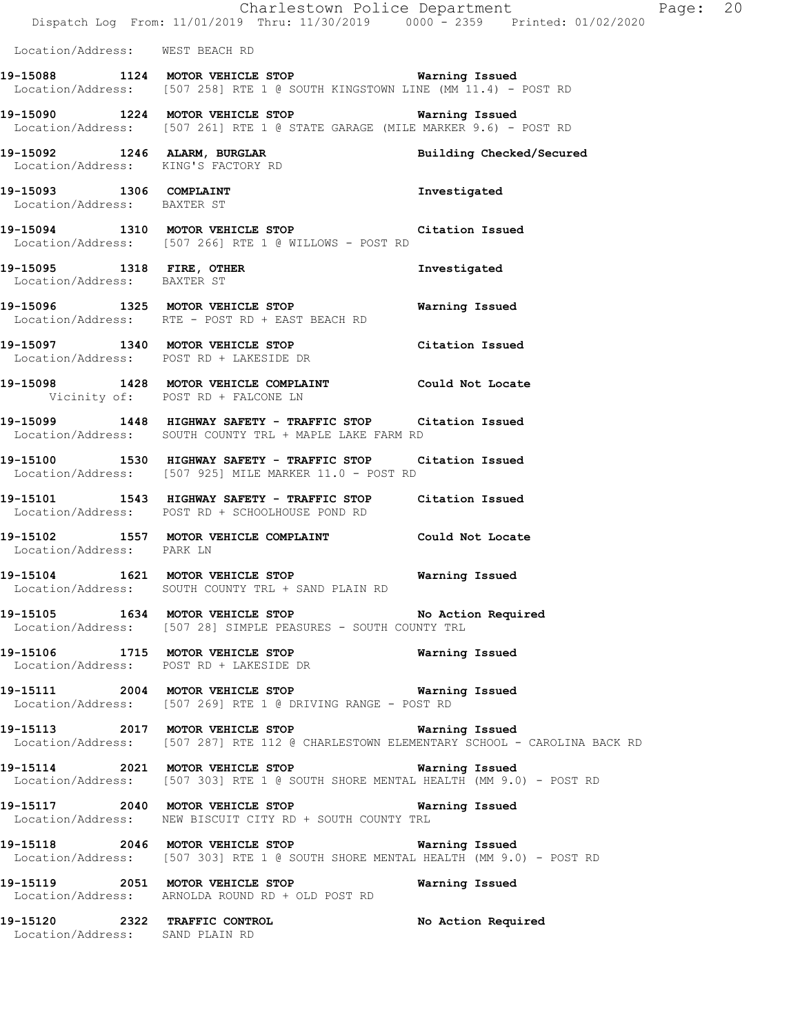|                                                                  | Dispatch Log From: 11/01/2019 Thru: 11/30/2019 0000 - 2359 Printed: 01/02/2020                                                                   | Charlestown Police Department | Page: 20 |  |
|------------------------------------------------------------------|--------------------------------------------------------------------------------------------------------------------------------------------------|-------------------------------|----------|--|
| Location/Address: WEST BEACH RD                                  |                                                                                                                                                  |                               |          |  |
|                                                                  | 19-15088 1124 MOTOR VEHICLE STOP Warning Issued<br>Location/Address: [507 258] RTE 1 @ SOUTH KINGSTOWN LINE (MM 11.4) - POST RD                  |                               |          |  |
|                                                                  | 19-15090 1224 MOTOR VEHICLE STOP 60 Warning Issued<br>Location/Address: [507 261] RTE 1 @ STATE GARAGE (MILE MARKER 9.6) - POST RD               |                               |          |  |
|                                                                  | 19-15092 1246 ALARM, BURGLAR<br>Location/Address: KING'S FACTORY RD                                                                              | Building Checked/Secured      |          |  |
| Location/Address: BAXTER ST                                      | 19-15093 1306 COMPLAINT                                                                                                                          | Investigated                  |          |  |
|                                                                  | 19-15094 1310 MOTOR VEHICLE STOP Citation Issued<br>Location/Address: [507 266] RTE 1 @ WILLOWS - POST RD                                        |                               |          |  |
| Location/Address: BAXTER ST                                      | 19-15095 1318 FIRE, OTHER                                                                                                                        | Investigated                  |          |  |
|                                                                  | 19-15096 1325 MOTOR VEHICLE STOP<br>Location/Address: RTE - POST RD + EAST BEACH RD                                                              | Warning Issued                |          |  |
|                                                                  | 19-15097 1340 MOTOR VEHICLE STOP Citation Issued<br>Location/Address: POST RD + LAKESIDE DR                                                      |                               |          |  |
|                                                                  | 19-15098 1428 MOTOR VEHICLE COMPLAINT Could Not Locate<br>Vicinity of: POST RD + FALCONE LN                                                      |                               |          |  |
|                                                                  | 19-15099 1448 HIGHWAY SAFETY - TRAFFIC STOP Citation Issued<br>Location/Address: SOUTH COUNTY TRL + MAPLE LAKE FARM RD                           |                               |          |  |
|                                                                  | 19-15100 1530 HIGHWAY SAFETY - TRAFFIC STOP Citation Issued<br>Location/Address: [507 925] MILE MARKER 11.0 - POST RD                            |                               |          |  |
|                                                                  | 19-15101 1543 HIGHWAY SAFETY - TRAFFIC STOP Citation Issued<br>Location/Address: POST RD + SCHOOLHOUSE POND RD                                   |                               |          |  |
| Location/Address: PARK LN                                        | 19-15102 1557 MOTOR VEHICLE COMPLAINT Could Not Locate                                                                                           |                               |          |  |
| Location/Address:                                                | 19-15104 1621 MOTOR VEHICLE STOP 6 Warning Issued<br>SOUTH COUNTY TRL + SAND PLAIN RD                                                            |                               |          |  |
|                                                                  | 19-15105 1634 MOTOR VEHICLE STOP No Action Required<br>Location/Address: [507 28] SIMPLE PEASURES - SOUTH COUNTY TRL                             |                               |          |  |
|                                                                  | 19-15106 1715 MOTOR VEHICLE STOP 6 Warning Issued<br>Location/Address: POST RD + LAKESIDE DR                                                     |                               |          |  |
|                                                                  | 19-15111 2004 MOTOR VEHICLE STOP 6 Warning Issued<br>Location/Address: [507 269] RTE 1 @ DRIVING RANGE - POST RD                                 |                               |          |  |
|                                                                  | 19-15113 2017 MOTOR VEHICLE STOP <b>WATNING ISSUED</b><br>Location/Address: [507 287] RTE 112 @ CHARLESTOWN ELEMENTARY SCHOOL - CAROLINA BACK RD |                               |          |  |
|                                                                  | 19-15114 2021 MOTOR VEHICLE STOP 6 Warning Issued<br>Location/Address: [507 303] RTE 1 @ SOUTH SHORE MENTAL HEALTH (MM 9.0) - POST RD            |                               |          |  |
|                                                                  | 19-15117 2040 MOTOR VEHICLE STOP 6 Warning Issued<br>Location/Address: NEW BISCUIT CITY RD + SOUTH COUNTY TRL                                    |                               |          |  |
|                                                                  | 19-15118 2046 MOTOR VEHICLE STOP 6 Warning Issued<br>Location/Address: [507 303] RTE 1 @ SOUTH SHORE MENTAL HEALTH (MM 9.0) - POST RD            |                               |          |  |
|                                                                  | 19-15119 2051 MOTOR VEHICLE STOP<br>Location/Address: ARNOLDA ROUND RD + OLD POST RD                                                             | Warning Issued                |          |  |
| 19-15120 2322 TRAFFIC CONTROL<br>Location/Address: SAND PLAIN RD |                                                                                                                                                  | No Action Required            |          |  |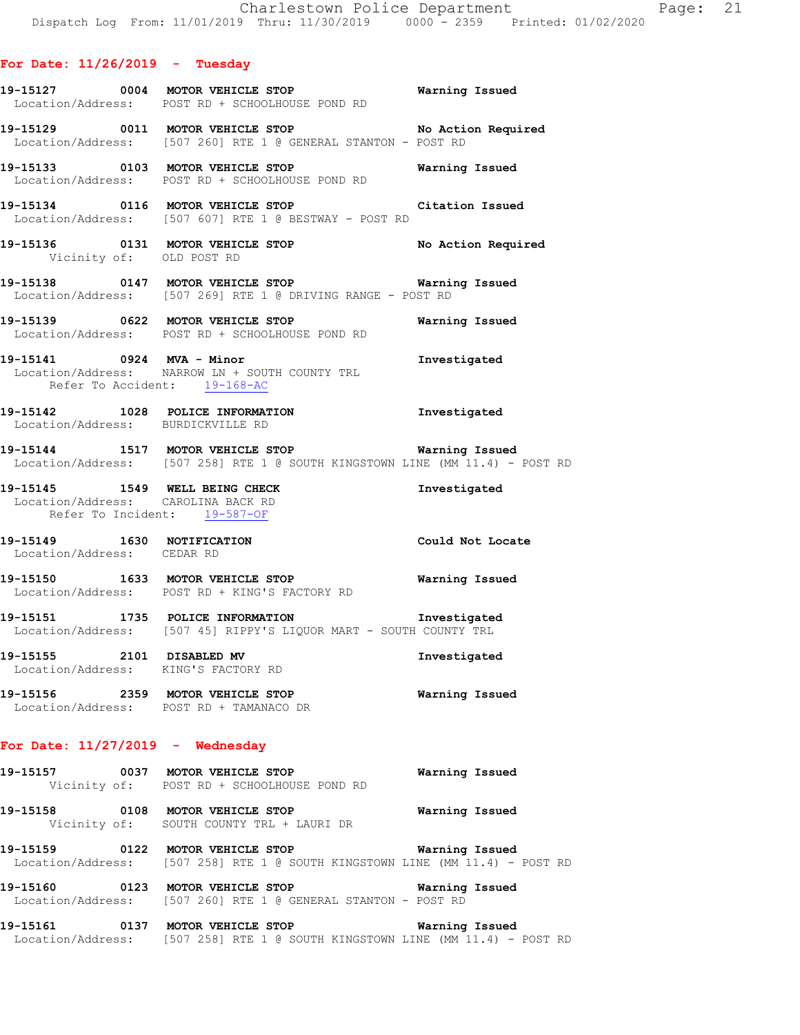Vicinity of: OLD POST RD

- **19-15127 0004 MOTOR VEHICLE STOP Warning Issued**  Location/Address: POST RD + SCHOOLHOUSE POND RD
- **19-15129 0011 MOTOR VEHICLE STOP No Action Required**  Location/Address: [507 260] RTE 1 @ GENERAL STANTON - POST RD
- **19-15133 0103 MOTOR VEHICLE STOP Warning Issued**  Location/Address: POST RD + SCHOOLHOUSE POND RD
- **19-15134 0116 MOTOR VEHICLE STOP Citation Issued**  Location/Address: [507 607] RTE 1 @ BESTWAY - POST RD
- **19-15136 0131 MOTOR VEHICLE STOP No Action Required**
- **19-15138 0147 MOTOR VEHICLE STOP Warning Issued**  Location/Address: [507 269] RTE 1 @ DRIVING RANGE - POST RD
- **19-15139 0622 MOTOR VEHICLE STOP Warning Issued**  Location/Address: POST RD + SCHOOLHOUSE POND RD
- **19-15141 0924 MVA Minor Investigated**  Location/Address: NARROW LN + SOUTH COUNTY TRL Refer To Accident: 19-168-AC
- **19-15142 1028 POLICE INFORMATION Investigated**  Location/Address: BURDICKVILLE RD
- **19-15144 1517 MOTOR VEHICLE STOP Warning Issued**  Location/Address: [507 258] RTE 1 @ SOUTH KINGSTOWN LINE (MM 11.4) - POST RD
- **19-15145 1549 WELL BEING CHECK Investigated**  Location/Address: CAROLINA BACK RD Refer To Incident: 19-587-OF
- **19-15149 1630 NOTIFICATION Could Not Locate**  Location/Address: CEDAR RD
- **19-15150 1633 MOTOR VEHICLE STOP Warning Issued**  Location/Address: POST RD + KING'S FACTORY RD
- **19-15151 1735 POLICE INFORMATION Investigated**  Location/Address: [507 45] RIPPY'S LIQUOR MART - SOUTH COUNTY TRL
- **19-15155 2101 DISABLED MV Investigated**  Location/Address: KING'S FACTORY RD
- **19-15156 2359 MOTOR VEHICLE STOP Warning Issued**  Location/Address: POST RD + TAMANACO DR

## **For Date: 11/27/2019 - Wednesday**

- **19-15157 0037 MOTOR VEHICLE STOP Warning Issued**  Vicinity of: POST RD + SCHOOLHOUSE POND RD
- **19-15158 0108 MOTOR VEHICLE STOP Warning Issued**  Vicinity of: SOUTH COUNTY TRL + LAURI DR
- **19-15159 0122 MOTOR VEHICLE STOP Warning Issued**  Location/Address: [507 258] RTE 1 @ SOUTH KINGSTOWN LINE (MM 11.4) - POST RD
- **19-15160 0123 MOTOR VEHICLE STOP Warning Issued**  Location/Address: [507 260] RTE 1 @ GENERAL STANTON - POST RD
- **19-15161 0137 MOTOR VEHICLE STOP Warning Issued**  Location/Address: [507 258] RTE 1 @ SOUTH KINGSTOWN LINE (MM 11.4) - POST RD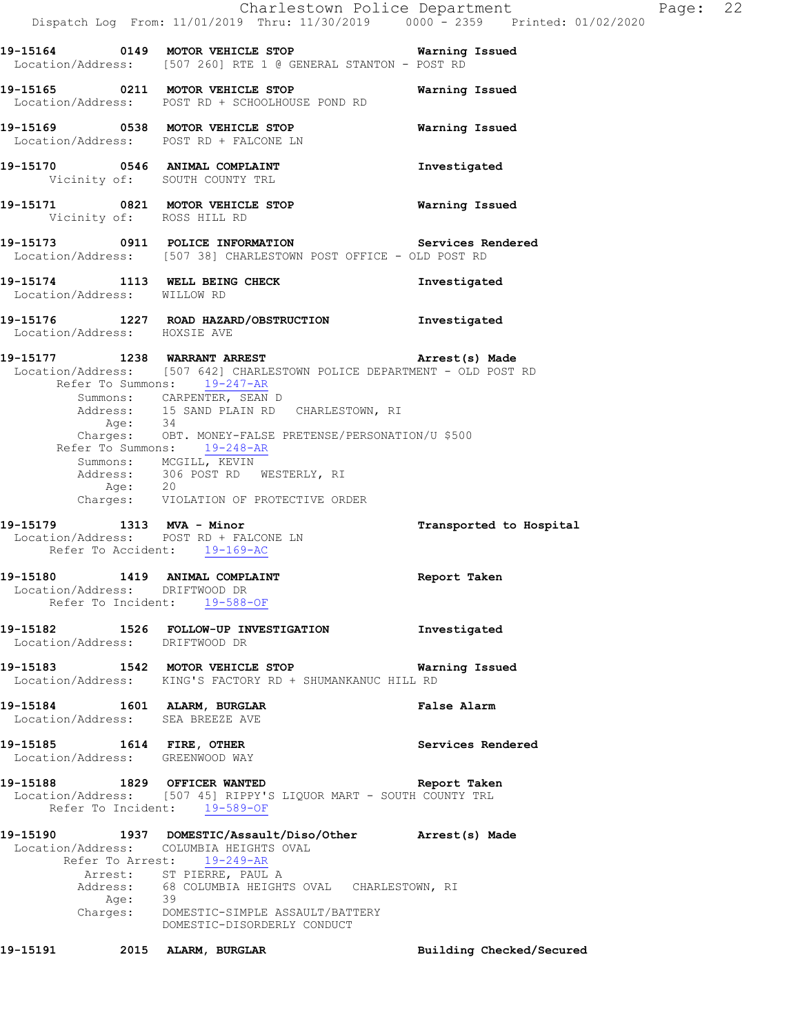|                                                                     |                                                                                                                                                         |                                                                                                                                                                                                                                                                                                    | Charlestown Police Department<br>Dispatch Log From: 11/01/2019 Thru: 11/30/2019 0000 <sup>-</sup> 2359 Printed: 01/02/2020 | Page: | 22 |
|---------------------------------------------------------------------|---------------------------------------------------------------------------------------------------------------------------------------------------------|----------------------------------------------------------------------------------------------------------------------------------------------------------------------------------------------------------------------------------------------------------------------------------------------------|----------------------------------------------------------------------------------------------------------------------------|-------|----|
|                                                                     |                                                                                                                                                         | 19-15164 0149 MOTOR VEHICLE STOP 6 Warning Issued<br>Location/Address: [507 260] RTE 1 @ GENERAL STANTON - POST RD                                                                                                                                                                                 |                                                                                                                            |       |    |
|                                                                     |                                                                                                                                                         | 19-15165 0211 MOTOR VEHICLE STOP<br>Location/Address: POST RD + SCHOOLHOUSE POND RD                                                                                                                                                                                                                | Warning Issued                                                                                                             |       |    |
| Location/Address: POST RD + FALCONE LN                              |                                                                                                                                                         | 19-15169 0538 MOTOR VEHICLE STOP                                                                                                                                                                                                                                                                   | Warning Issued                                                                                                             |       |    |
| 19-15170 0546 ANIMAL COMPLAINT                                      | Vicinity of: SOUTH COUNTY TRL                                                                                                                           |                                                                                                                                                                                                                                                                                                    | Investigated                                                                                                               |       |    |
| 19-15171 0821 MOTOR VEHICLE STOP                                    | Vicinity of: ROSS HILL RD                                                                                                                               |                                                                                                                                                                                                                                                                                                    | Warning Issued                                                                                                             |       |    |
|                                                                     |                                                                                                                                                         | 19-15173 0911 POLICE INFORMATION Services Rendered<br>Location/Address: [507 38] CHARLESTOWN POST OFFICE - OLD POST RD                                                                                                                                                                             |                                                                                                                            |       |    |
| Location/Address: WILLOW RD                                         |                                                                                                                                                         | 19-15174 1113 WELL BEING CHECK                                                                                                                                                                                                                                                                     | Investigated                                                                                                               |       |    |
| Location/Address: HOXSIE AVE                                        |                                                                                                                                                         | 19-15176 1227 ROAD HAZARD/OBSTRUCTION Investigated                                                                                                                                                                                                                                                 |                                                                                                                            |       |    |
|                                                                     | Refer To Summons: 19-247-AR<br>Summons: CARPENTER, SEAN D<br>Refer To Summons: 19-248-AR<br>Summons: MCGILL, KEVIN<br>Address: 306 POST RD WESTERLY, RI | 19-15177 1238 WARRANT ARREST 1991 Arrest(s) Made<br>Location/Address: [507 642] CHARLESTOWN POLICE DEPARTMENT - OLD POST RD<br>Address: 15 SAND PLAIN RD CHARLESTOWN, RI<br>Age: 34<br>Charges: OBT. MONEY-FALSE PRETENSE/PERSONATION/U \$500<br>Age: 20<br>Charges: VIOLATION OF PROTECTIVE ORDER |                                                                                                                            |       |    |
| 19-15179 1313 MVA - Minor<br>Location/Address: POST RD + FALCONE LN | Refer To Accident: 19-169-AC                                                                                                                            |                                                                                                                                                                                                                                                                                                    | Transported to Hospital                                                                                                    |       |    |
| 19-15180 1419 ANIMAL COMPLAINT                                      | Location/Address: DRIFTWOOD DR<br>Refer To Incident: 19-588-OF                                                                                          |                                                                                                                                                                                                                                                                                                    | Report Taken                                                                                                               |       |    |
|                                                                     | Location/Address: DRIFTWOOD DR                                                                                                                          | 19-15182 1526 FOLLOW-UP INVESTIGATION                                                                                                                                                                                                                                                              | Investigated                                                                                                               |       |    |
|                                                                     |                                                                                                                                                         | 19-15183 1542 MOTOR VEHICLE STOP 6 Warning Issued<br>Location/Address: KING'S FACTORY RD + SHUMANKANUC HILL RD                                                                                                                                                                                     |                                                                                                                            |       |    |
| 19-15184 1601 ALARM, BURGLAR<br>Location/Address: SEA BREEZE AVE    |                                                                                                                                                         |                                                                                                                                                                                                                                                                                                    | False Alarm                                                                                                                |       |    |
| 19-15185    1614    FIRE, OTHER<br>Location/Address: GREENWOOD WAY  |                                                                                                                                                         |                                                                                                                                                                                                                                                                                                    | Services Rendered                                                                                                          |       |    |
|                                                                     | Refer To Incident: 19-589-OF                                                                                                                            | 19-15188 1829 OFFICER WANTED<br>Location/Address: [507 45] RIPPY'S LIQUOR MART - SOUTH COUNTY TRL                                                                                                                                                                                                  | Report Taken                                                                                                               |       |    |
| Location/Address: COLUMBIA HEIGHTS OVAL                             | Refer To Arrest: 19-249-AR<br>Arrest: ST PIERRE, PAUL A<br>Age: 39                                                                                      | 19-15190 1937 DOMESTIC/Assault/Diso/Other Arrest(s) Made<br>Address: 68 COLUMBIA HEIGHTS OVAL CHARLESTOWN, RI<br>Charges: DOMESTIC-SIMPLE ASSAULT/BATTERY                                                                                                                                          |                                                                                                                            |       |    |
| 19–15191                                                            | 2015 ALARM, BURGLAR                                                                                                                                     | DOMESTIC-DISORDERLY CONDUCT                                                                                                                                                                                                                                                                        | Building Checked/Secured                                                                                                   |       |    |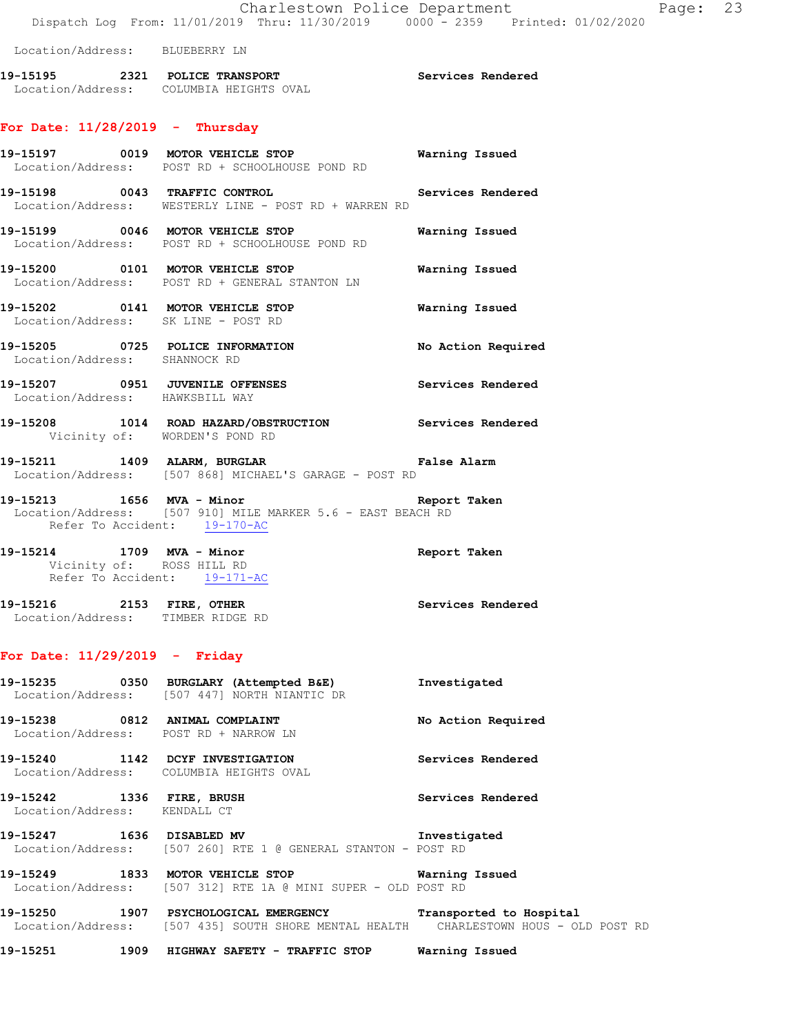#### Location/Address: BLUEBERRY LN

**19-15195 2321 POLICE TRANSPORT Services Rendered**  Location/Address: COLUMBIA HEIGHTS OVAL

# **For Date: 11/28/2019 - Thursday**

|                                                                    | 19-15197 0019 MOTOR VEHICLE STOP<br>Location/Address: POST RD + SCHOOLHOUSE POND RD               | Warning Issued     |
|--------------------------------------------------------------------|---------------------------------------------------------------------------------------------------|--------------------|
| 19-15198 0043 TRAFFIC CONTROL                                      | Services Rendered<br>Location/Address: WESTERLY LINE - POST RD + WARREN RD                        |                    |
|                                                                    | 19-15199 0046 MOTOR VEHICLE STOP<br>Location/Address: POST RD + SCHOOLHOUSE POND RD               | Warning Issued     |
|                                                                    | 19-15200 0101 MOTOR VEHICLE STOP<br>Location/Address: POST RD + GENERAL STANTON LN                | Warning Issued     |
| Location/Address: SK LINE - POST RD                                | 19-15202 0141 MOTOR VEHICLE STOP                                                                  | Warning Issued     |
| Location/Address: SHANNOCK RD                                      | 19-15205 0725 POLICE INFORMATION                                                                  | No Action Required |
| 19-15207 0951 JUVENILE OFFENSES<br>Location/Address: HAWKSBILL WAY |                                                                                                   | Services Rendered  |
| Vicinity of: WORDEN'S POND RD                                      | 19-15208 1014 ROAD HAZARD/OBSTRUCTION Services Rendered                                           |                    |
|                                                                    | 19-15211 1409 ALARM, BURGLAR 1997 15211<br>Location/Address: [507 868] MICHAEL'S GARAGE - POST RD |                    |

- **19-15213 1656 MVA Minor Report Taken**  Location/Address: [507 910] MILE MARKER 5.6 - EAST BEACH RD Refer To Accident: 19-170-AC
- **19-15214 1709 MVA Minor Report Taken**  Vicinity of: ROSS HILL RD Refer To Accident: 19-171-AC
- **19-15216 2153 FIRE, OTHER Services Rendered**  Location/Address: TIMBER RIDGE RD

#### **For Date: 11/29/2019 - Friday**

|                                                           | 19-15235 0350 BURGLARY (Attempted B&E)<br>Location/Address: [507 447] NORTH NIANTIC DR                                                                                                                                                                                                                                 | Investigated       |
|-----------------------------------------------------------|------------------------------------------------------------------------------------------------------------------------------------------------------------------------------------------------------------------------------------------------------------------------------------------------------------------------|--------------------|
| 19-15238 0812 ANIMAL COMPLAINT                            | Location/Address: POST RD + NARROW LN                                                                                                                                                                                                                                                                                  | No Action Required |
|                                                           | 19-15240 1142 DCYF INVESTIGATION<br>Location/Address: COLUMBIA HEIGHTS OVAL                                                                                                                                                                                                                                            | Services Rendered  |
| 19-15242 1336 FIRE, BRUSH<br>Location/Address: KENDALL CT |                                                                                                                                                                                                                                                                                                                        | Services Rendered  |
|                                                           | 19-15247 1636 DISABLED MV<br>Location/Address: [507 260] RTE 1 @ GENERAL STANTON - POST RD                                                                                                                                                                                                                             | Investigated       |
|                                                           | 19-15249 1833 MOTOR VEHICLE STOP 6 Warning Issued<br>Location/Address: [507 312] RTE 1A @ MINI SUPER - OLD POST RD                                                                                                                                                                                                     |                    |
| .                                                         | $\overline{a}$ . And $\overline{a}$ . And $\overline{a}$ . And $\overline{a}$ . And $\overline{a}$ . And $\overline{a}$ . And $\overline{a}$ . And $\overline{a}$ . And $\overline{a}$ . And $\overline{a}$ . And $\overline{a}$ . And $\overline{a}$ . And $\overline{a}$ . And $\overline{a}$ . And $\overline{a}$ . |                    |

**19-15250 1907 PSYCHOLOGICAL EMERGENCY Transported to Hospital**  Location/Address: [507 435] SOUTH SHORE MENTAL HEALTH CHARLESTOWN HOUS - OLD POST RD

**19-15251 1909 HIGHWAY SAFETY - TRAFFIC STOP Warning Issued**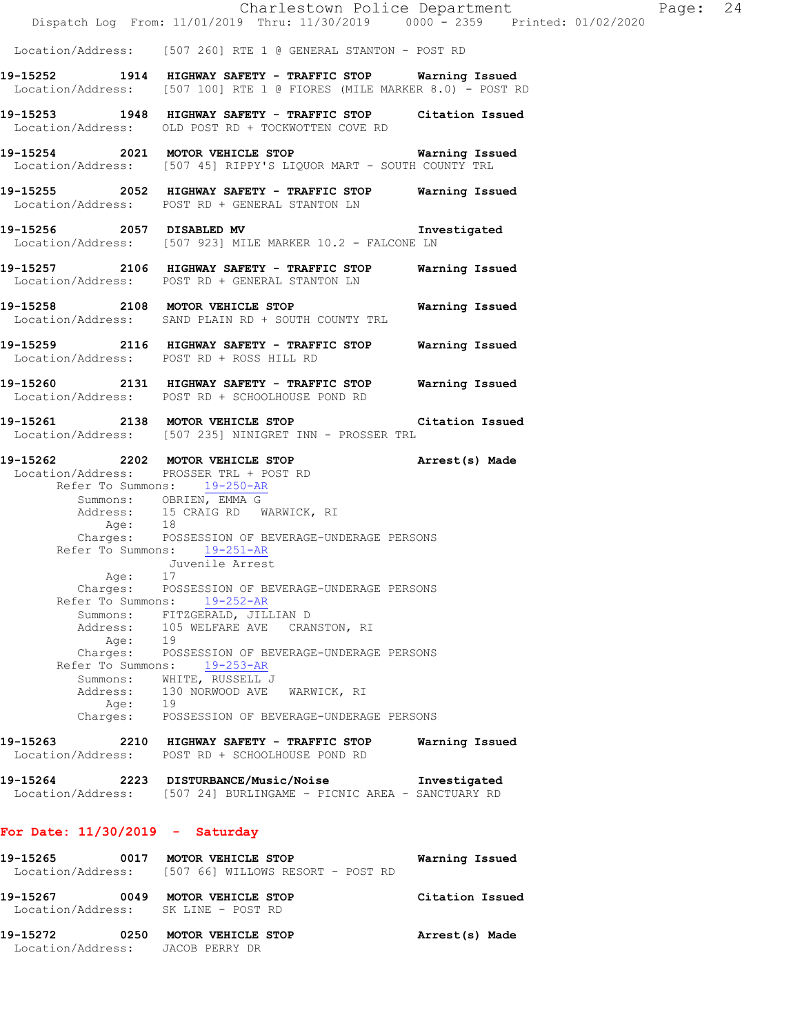Charlestown Police Department The Page: 24 Dispatch Log From: 11/01/2019 Thru: 11/30/2019 0000 - 2359 Printed: 01/02/2020 Location/Address: [507 260] RTE 1 @ GENERAL STANTON - POST RD **19-15252 1914 HIGHWAY SAFETY - TRAFFIC STOP Warning Issued**  Location/Address: [507 100] RTE 1 @ FIORES (MILE MARKER 8.0) - POST RD **19-15253 1948 HIGHWAY SAFETY - TRAFFIC STOP Citation Issued**  Location/Address: OLD POST RD + TOCKWOTTEN COVE RD **19-15254 2021 MOTOR VEHICLE STOP Warning Issued**  Location/Address: [507 45] RIPPY'S LIQUOR MART - SOUTH COUNTY TRL **19-15255 2052 HIGHWAY SAFETY - TRAFFIC STOP Warning Issued**  Location/Address: POST RD + GENERAL STANTON LN **19-15256 2057 DISABLED MV Investigated**  Location/Address: [507 923] MILE MARKER 10.2 - FALCONE LN **19-15257 2106 HIGHWAY SAFETY - TRAFFIC STOP Warning Issued**  Location/Address: POST RD + GENERAL STANTON LN **19-15258 2108 MOTOR VEHICLE STOP Warning Issued**  Location/Address: SAND PLAIN RD + SOUTH COUNTY TRL **19-15259 2116 HIGHWAY SAFETY - TRAFFIC STOP Warning Issued**  Location/Address: POST RD + ROSS HILL RD **19-15260 2131 HIGHWAY SAFETY - TRAFFIC STOP Warning Issued**  Location/Address: POST RD + SCHOOLHOUSE POND RD **19-15261 2138 MOTOR VEHICLE STOP Citation Issued**  Location/Address: [507 235] NINIGRET INN - PROSSER TRL **19-15262 2202 MOTOR VEHICLE STOP Arrest(s) Made**  Location/Address: PROSSER TRL + POST RD Refer To Summons: 19-250-AR Summons: OBRIEN, EMMA G Address: 15 CRAIG RD WARWICK, RI Age: 18 Charges: POSSESSION OF BEVERAGE-UNDERAGE PERSONS Refer To Summons: 19-251-AR Juvenile Arrest Age: 17 Charges: POSSESSION OF BEVERAGE-UNDERAGE PERSONS Refer To Summons: 19-252-AR Summons: FITZGERALD, JILLIAN D Address: 105 WELFARE AVE CRANSTON, RI Age: 19 Charges: POSSESSION OF BEVERAGE-UNDERAGE PERSONS Refer To Summons: 19-253-AR Summons: WHITE, RUSSELL J Address: 130 NORWOOD AVE WARWICK, RI<br>Age: 19  $Age:$  Charges: POSSESSION OF BEVERAGE-UNDERAGE PERSONS **19-15263 2210 HIGHWAY SAFETY - TRAFFIC STOP Warning Issued**  Location/Address: POST RD + SCHOOLHOUSE POND RD **19-15264 2223 DISTURBANCE/Music/Noise Investigated**  Location/Address: [507 24] BURLINGAME - PICNIC AREA - SANCTUARY RD **For Date: 11/30/2019 - Saturday 19-15265 0017 MOTOR VEHICLE STOP Warning Issued**  Location/Address: [507 66] WILLOWS RESORT - POST RD

 Location/Address: SK LINE - POST RD **19-15272 0250 MOTOR VEHICLE STOP Arrest(s) Made**  Location/Address: JACOB PERRY DR

**19-15267 0049 MOTOR VEHICLE STOP Citation Issued**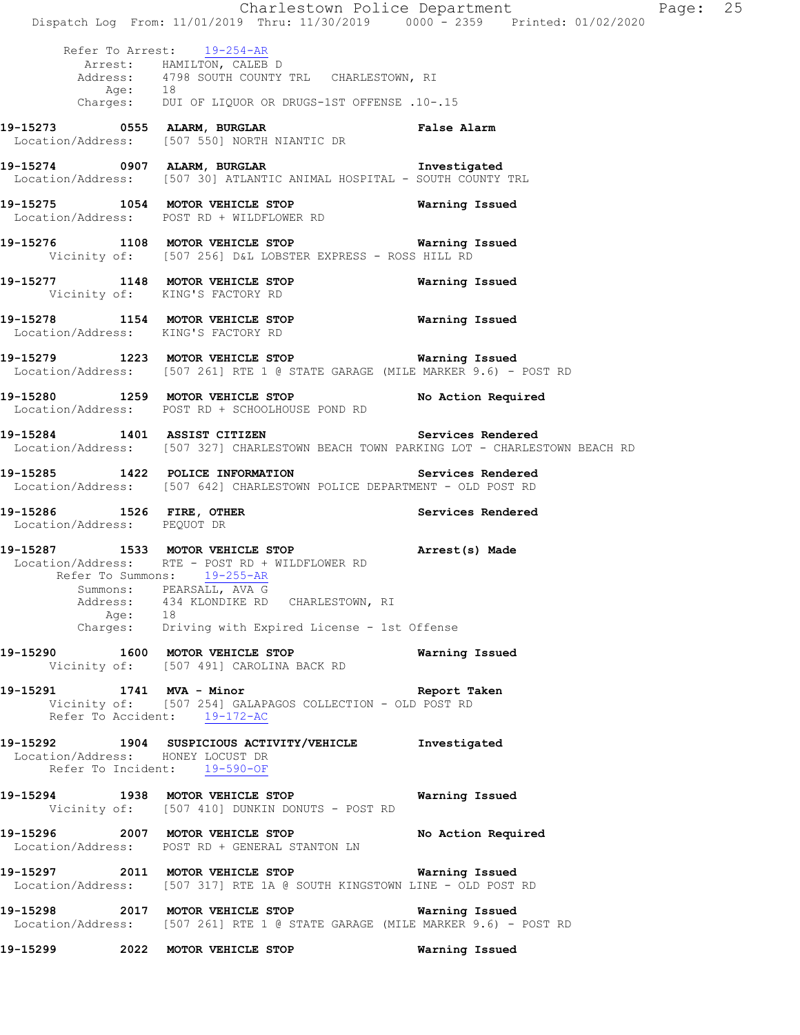|                                                          | Dispatch Log From: 11/01/2019 Thru: 11/30/2019 0000 - 2359 Printed: 01/02/2020                                                                                                                                                                                               | Charlestown Police Department | Page: 25 |  |
|----------------------------------------------------------|------------------------------------------------------------------------------------------------------------------------------------------------------------------------------------------------------------------------------------------------------------------------------|-------------------------------|----------|--|
|                                                          | Refer To Arrest: 19-254-AR<br>Arrest: HAMILTON, CALEB D<br>Address: 4798 SOUTH COUNTY TRL CHARLESTOWN, RI<br>Age: 18<br>Charges: DUI OF LIQUOR OR DRUGS-1ST OFFENSE .10-.15                                                                                                  |                               |          |  |
|                                                          | 19-15273 0555 ALARM, BURGLAR CHARM False Alarm<br>Location/Address: [507 550] NORTH NIANTIC DR                                                                                                                                                                               |                               |          |  |
|                                                          | 19-15274 0907 ALARM, BURGLAR 1nvestigated<br>Location/Address: [507 30] ATLANTIC ANIMAL HOSPITAL - SOUTH COUNTY TRL                                                                                                                                                          |                               |          |  |
|                                                          | 19-15275 1054 MOTOR VEHICLE STOP Warning Issued<br>Location/Address: POST RD + WILDFLOWER RD                                                                                                                                                                                 |                               |          |  |
|                                                          | 19-15276 1108 MOTOR VEHICLE STOP 6 Warning Issued<br>Vicinity of: [507 256] D&L LOBSTER EXPRESS - ROSS HILL RD                                                                                                                                                               |                               |          |  |
|                                                          | 19-15277 1148 MOTOR VEHICLE STOP <b>Warning Issued</b><br>Vicinity of: KING'S FACTORY RD                                                                                                                                                                                     |                               |          |  |
| Location/Address: KING'S FACTORY RD                      | 19-15278 1154 MOTOR VEHICLE STOP 6 Warning Issued                                                                                                                                                                                                                            |                               |          |  |
|                                                          | 19-15279 1223 MOTOR VEHICLE STOP <b>Warning Issued</b><br>Location/Address: [507 261] RTE 1 @ STATE GARAGE (MILE MARKER 9.6) - POST RD                                                                                                                                       |                               |          |  |
|                                                          | 19-15280 1259 MOTOR VEHICLE STOP No Action Required<br>Location/Address: POST RD + SCHOOLHOUSE POND RD                                                                                                                                                                       |                               |          |  |
|                                                          | 19-15284 1401 ASSIST CITIZEN Services Rendered<br>Location/Address: [507 327] CHARLESTOWN BEACH TOWN PARKING LOT - CHARLESTOWN BEACH RD                                                                                                                                      |                               |          |  |
|                                                          | 19-15285 1422 POLICE INFORMATION Services Rendered<br>Location/Address: [507 642] CHARLESTOWN POLICE DEPARTMENT - OLD POST RD                                                                                                                                                |                               |          |  |
| 19-15286 1526 FIRE, OTHER<br>Location/Address: PEQUOT DR |                                                                                                                                                                                                                                                                              | Services Rendered             |          |  |
|                                                          | 19-15287 1533 MOTOR VEHICLE STOP (Arrest(s) Made<br>Location/Address: RTE - POST RD + WILDFLOWER RD<br>Refer To Summons: 19-255-AR<br>Summons: PEARSALL, AVA G<br>Address: 434 KLONDIKE RD CHARLESTOWN, RI<br>Age: 18<br>Charges: Driving with Expired License - 1st Offense |                               |          |  |
|                                                          | 19-15290 1600 MOTOR VEHICLE STOP<br>Vicinity of: [507 491] CAROLINA BACK RD                                                                                                                                                                                                  | Warning Issued                |          |  |
|                                                          | 19-15291 1741 MVA - Minor<br>Vicinity of: [507 254] GALAPAGOS COLLECTION - OLD POST RD<br>Refer To Accident: 19-172-AC                                                                                                                                                       | Report Taken                  |          |  |
| Location/Address: HONEY LOCUST DR                        | 19-15292 1904 SUSPICIOUS ACTIVITY/VEHICLE Investigated<br>Refer To Incident: 19-590-OF                                                                                                                                                                                       |                               |          |  |
|                                                          | 19-15294 1938 MOTOR VEHICLE STOP 6 Warning Issued<br>Vicinity of: [507 410] DUNKIN DONUTS - POST RD                                                                                                                                                                          |                               |          |  |
|                                                          | 19-15296 2007 MOTOR VEHICLE STOP<br>Location/Address: POST RD + GENERAL STANTON LN                                                                                                                                                                                           | No Action Required            |          |  |
|                                                          | 19-15297 2011 MOTOR VEHICLE STOP <b>Warning Issued</b><br>Location/Address: [507 317] RTE 1A @ SOUTH KINGSTOWN LINE - OLD POST RD                                                                                                                                            |                               |          |  |
|                                                          | 19-15298 2017 MOTOR VEHICLE STOP<br>Location/Address: [507 261] RTE 1 @ STATE GARAGE (MILE MARKER 9.6) - POST RD                                                                                                                                                             | Warning Issued                |          |  |
|                                                          | 19-15299 2022 MOTOR VEHICLE STOP                                                                                                                                                                                                                                             | Warning Issued                |          |  |